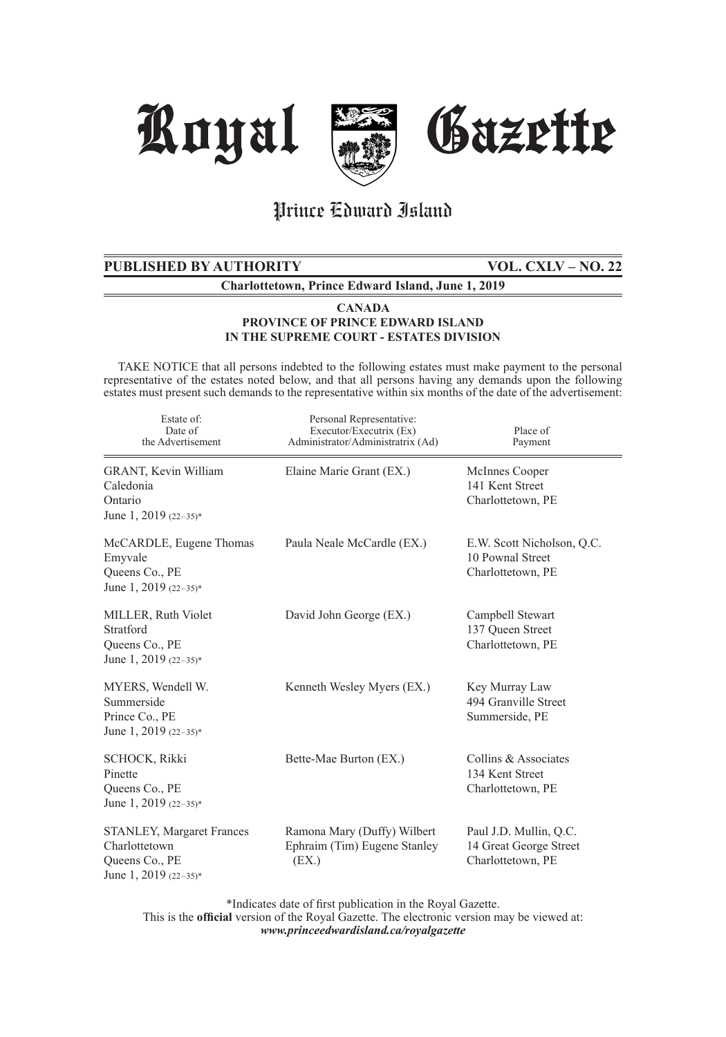

## Prince Edward Island

## **PUBLISHED BY AUTHORITY VOL. CXLV – NO. 22**

**Charlottetown, Prince Edward Island, June 1, 2019**

#### **CANADA PROVINCE OF PRINCE EDWARD ISLAND IN THE SUPREME COURT - ESTATES DIVISION**

 TAKE NOTICE that all persons indebted to the following estates must make payment to the personal representative of the estates noted below, and that all persons having any demands upon the following estates must present such demands to the representative within six months of the date of the advertisement:

| Estate of:<br>Date of<br>the Advertisement                                                     | Personal Representative:<br>Executor/Executrix (Ex)<br>Administrator/Administratrix (Ad) | Place of<br>Payment                                                   |
|------------------------------------------------------------------------------------------------|------------------------------------------------------------------------------------------|-----------------------------------------------------------------------|
| GRANT, Kevin William<br>Caledonia<br>Ontario<br>June 1, 2019 $(22-35)^*$                       | Elaine Marie Grant (EX.)                                                                 | McInnes Cooper<br>141 Kent Street<br>Charlottetown, PE                |
| McCARDLE, Eugene Thomas<br>Emyvale<br>Queens Co., PE<br>June 1, 2019 $(22-35)^*$               | Paula Neale McCardle (EX.)                                                               | E.W. Scott Nicholson, Q.C.<br>10 Pownal Street<br>Charlottetown, PE   |
| MILLER, Ruth Violet<br>Stratford<br>Queens Co., PE<br>June 1, 2019 $(22-35)^*$                 | David John George (EX.)                                                                  | Campbell Stewart<br>137 Oueen Street<br>Charlottetown, PE             |
| MYERS, Wendell W.<br>Summerside<br>Prince Co., PE<br>June 1, 2019 $(22-35)^*$                  | Kenneth Wesley Myers (EX.)                                                               | Key Murray Law<br>494 Granville Street<br>Summerside, PE              |
| <b>SCHOCK, Rikki</b><br>Pinette<br>Queens Co., PE<br>June 1, 2019 $(22-35)^*$                  | Bette-Mae Burton (EX.)                                                                   | Collins & Associates<br>134 Kent Street<br>Charlottetown, PE          |
| <b>STANLEY, Margaret Frances</b><br>Charlottetown<br>Queens Co., PE<br>June 1, 2019 $(22-35)*$ | Ramona Mary (Duffy) Wilbert<br>Ephraim (Tim) Eugene Stanley<br>(EX.)                     | Paul J.D. Mullin, Q.C.<br>14 Great George Street<br>Charlottetown, PE |

\*Indicates date of first publication in the Royal Gazette.

This is the **official** version of the Royal Gazette. The electronic version may be viewed at: *www.princeedwardisland.ca/royalgazette*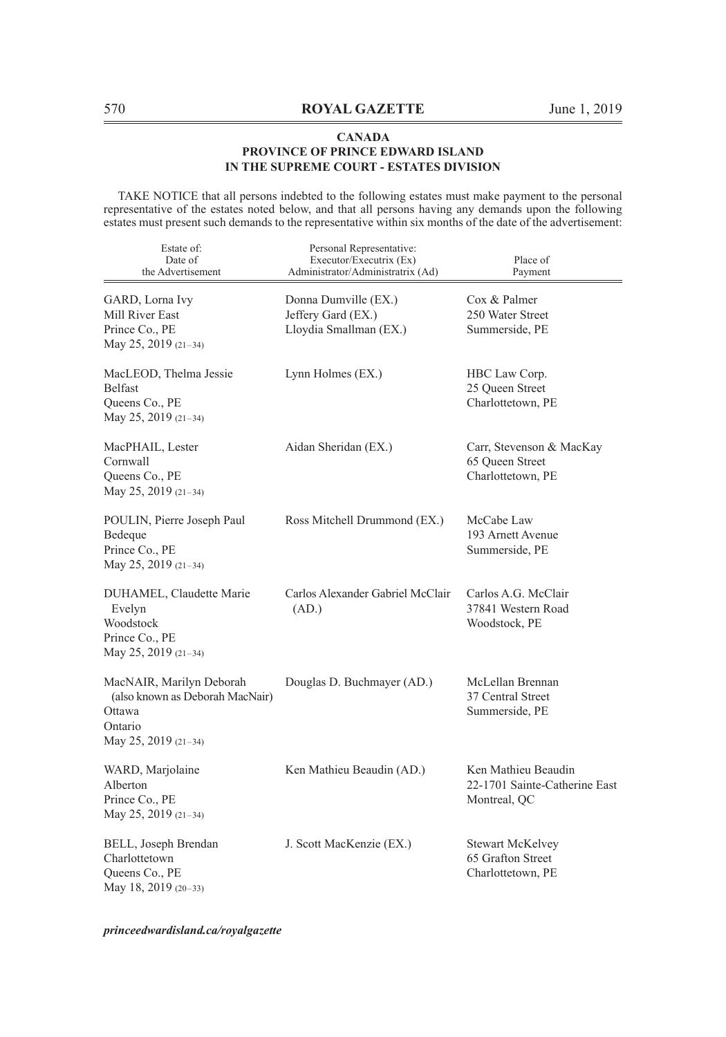TAKE NOTICE that all persons indebted to the following estates must make payment to the personal representative of the estates noted below, and that all persons having any demands upon the following estates must present such demands to the representative within six months of the date of the advertisement:

| Estate of:<br>Date of<br>the Advertisement                                                               | Personal Representative:<br>Executor/Executrix (Ex)<br>Administrator/Administratrix (Ad) | Place of<br>Payment                                                  |
|----------------------------------------------------------------------------------------------------------|------------------------------------------------------------------------------------------|----------------------------------------------------------------------|
| GARD, Lorna Ivy<br>Mill River East<br>Prince Co., PE<br>May 25, 2019 (21-34)                             | Donna Dumville (EX.)<br>Jeffery Gard (EX.)<br>Lloydia Smallman (EX.)                     | Cox & Palmer<br>250 Water Street<br>Summerside, PE                   |
| MacLEOD, Thelma Jessie<br><b>Belfast</b><br>Queens Co., PE<br>May 25, 2019 (21-34)                       | Lynn Holmes (EX.)                                                                        | HBC Law Corp.<br>25 Queen Street<br>Charlottetown, PE                |
| MacPHAIL, Lester<br>Cornwall<br>Queens Co., PE<br>May 25, 2019 (21-34)                                   | Aidan Sheridan (EX.)                                                                     | Carr, Stevenson & MacKay<br>65 Queen Street<br>Charlottetown, PE     |
| POULIN, Pierre Joseph Paul<br>Bedeque<br>Prince Co., PE<br>May 25, 2019 (21-34)                          | Ross Mitchell Drummond (EX.)                                                             | McCabe Law<br>193 Arnett Avenue<br>Summerside, PE                    |
| DUHAMEL, Claudette Marie<br>Evelyn<br>Woodstock<br>Prince Co., PE<br>May 25, 2019 (21-34)                | Carlos Alexander Gabriel McClair<br>(AD.)                                                | Carlos A.G. McClair<br>37841 Western Road<br>Woodstock, PE           |
| MacNAIR, Marilyn Deborah<br>(also known as Deborah MacNair)<br>Ottawa<br>Ontario<br>May 25, 2019 (21-34) | Douglas D. Buchmayer (AD.)                                                               | McLellan Brennan<br>37 Central Street<br>Summerside, PE              |
| WARD, Marjolaine<br>Alberton<br>Prince Co., PE<br>May 25, 2019 (21-34)                                   | Ken Mathieu Beaudin (AD.)                                                                | Ken Mathieu Beaudin<br>22-1701 Sainte-Catherine East<br>Montreal, QC |
| BELL, Joseph Brendan<br>Charlottetown<br>Queens Co., PE<br>May 18, 2019 (20-33)                          | J. Scott MacKenzie (EX.)                                                                 | <b>Stewart McKelvey</b><br>65 Grafton Street<br>Charlottetown, PE    |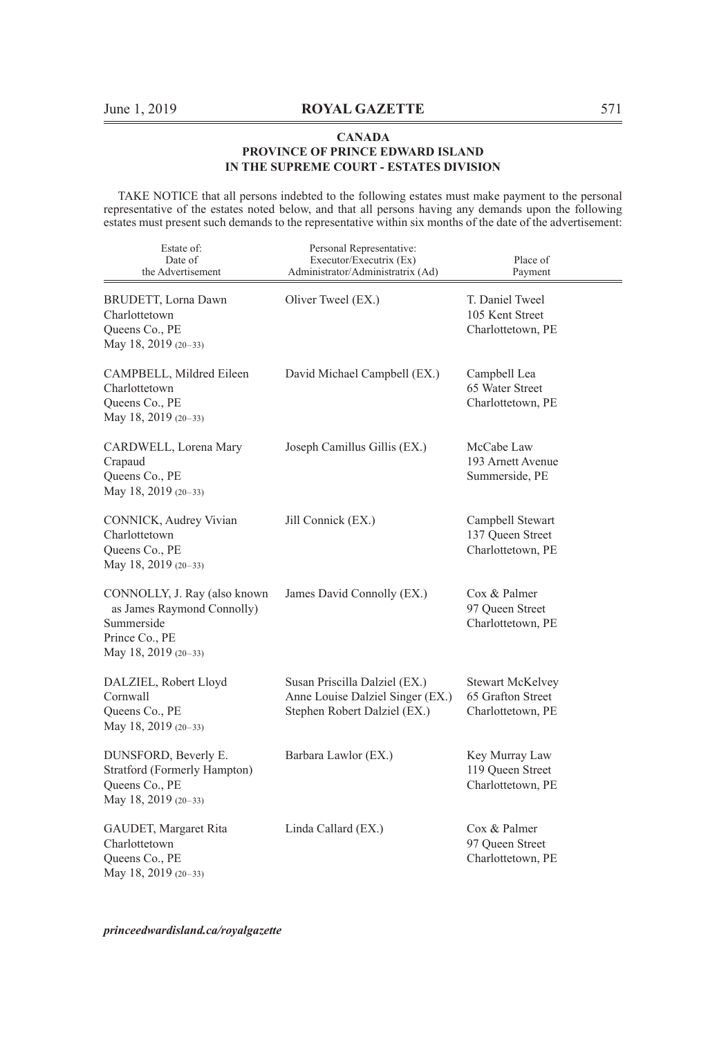TAKE NOTICE that all persons indebted to the following estates must make payment to the personal representative of the estates noted below, and that all persons having any demands upon the following estates must present such demands to the representative within six months of the date of the advertisement:

| Estate of:<br>Date of<br>the Advertisement                                                                         | Personal Representative:<br>Executor/Executrix (Ex)<br>Administrator/Administratrix (Ad)          | Place of<br>Payment                                               |
|--------------------------------------------------------------------------------------------------------------------|---------------------------------------------------------------------------------------------------|-------------------------------------------------------------------|
| BRUDETT, Lorna Dawn<br>Charlottetown<br>Queens Co., PE<br>May 18, 2019 (20-33)                                     | Oliver Tweel (EX.)                                                                                | T. Daniel Tweel<br>105 Kent Street<br>Charlottetown, PE           |
| CAMPBELL, Mildred Eileen<br>Charlottetown<br>Queens Co., PE<br>May 18, 2019 (20-33)                                | David Michael Campbell (EX.)                                                                      | Campbell Lea<br>65 Water Street<br>Charlottetown, PE              |
| CARDWELL, Lorena Mary<br>Crapaud<br>Queens Co., PE<br>May 18, 2019 (20-33)                                         | Joseph Camillus Gillis (EX.)                                                                      | McCabe Law<br>193 Arnett Avenue<br>Summerside, PE                 |
| CONNICK, Audrey Vivian<br>Charlottetown<br>Queens Co., PE<br>May 18, 2019 (20-33)                                  | Jill Connick (EX.)                                                                                | Campbell Stewart<br>137 Queen Street<br>Charlottetown, PE         |
| CONNOLLY, J. Ray (also known<br>as James Raymond Connolly)<br>Summerside<br>Prince Co., PE<br>May 18, 2019 (20-33) | James David Connolly (EX.)                                                                        | Cox & Palmer<br>97 Oueen Street<br>Charlottetown, PE              |
| DALZIEL, Robert Lloyd<br>Cornwall<br>Queens Co., PE<br>May 18, 2019 (20-33)                                        | Susan Priscilla Dalziel (EX.)<br>Anne Louise Dalziel Singer (EX.)<br>Stephen Robert Dalziel (EX.) | <b>Stewart McKelvey</b><br>65 Grafton Street<br>Charlottetown, PE |
| DUNSFORD, Beverly E.<br>Stratford (Formerly Hampton)<br>Queens Co., PE<br>May 18, 2019 (20-33)                     | Barbara Lawlor (EX.)                                                                              | Key Murray Law<br>119 Queen Street<br>Charlottetown, PE           |
| GAUDET, Margaret Rita<br>Charlottetown<br>Queens Co., PE<br>May 18, 2019 (20-33)                                   | Linda Callard (EX.)                                                                               | Cox & Palmer<br>97 Oueen Street<br>Charlottetown, PE              |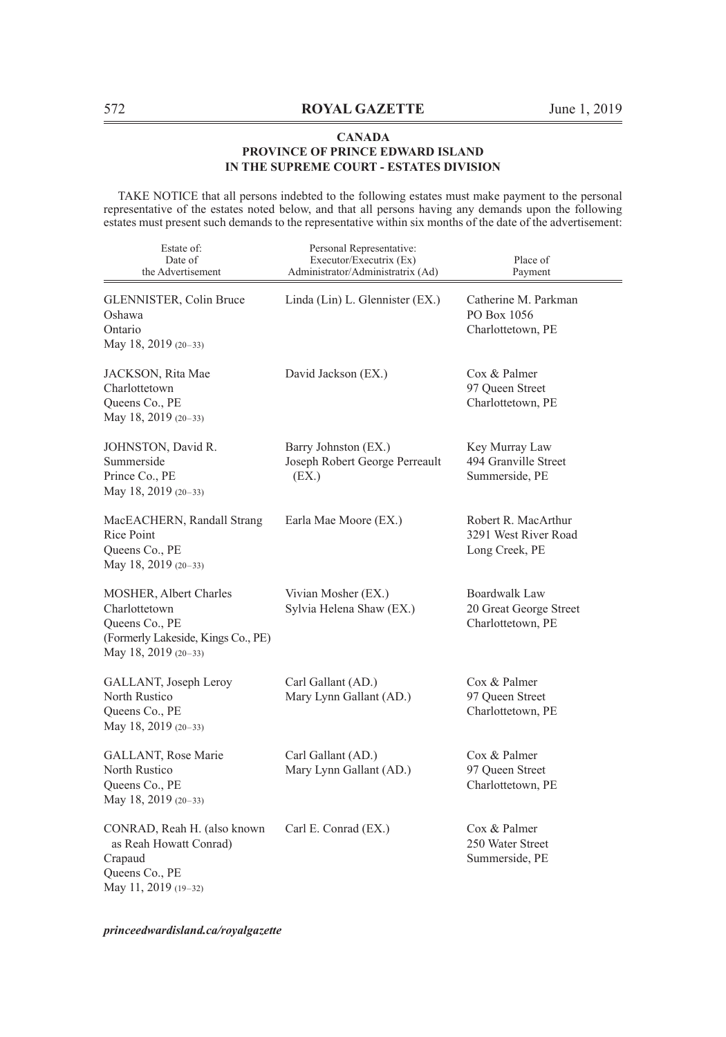TAKE NOTICE that all persons indebted to the following estates must make payment to the personal representative of the estates noted below, and that all persons having any demands upon the following estates must present such demands to the representative within six months of the date of the advertisement:

| Estate of:<br>Date of<br>the Advertisement                                                                                     | Personal Representative:<br>Executor/Executrix (Ex)<br>Administrator/Administratrix (Ad) | Place of<br>Payment                                           |
|--------------------------------------------------------------------------------------------------------------------------------|------------------------------------------------------------------------------------------|---------------------------------------------------------------|
| GLENNISTER, Colin Bruce<br>Oshawa<br>Ontario<br>May 18, 2019 (20-33)                                                           | Linda (Lin) L. Glennister (EX.)                                                          | Catherine M. Parkman<br>PO Box 1056<br>Charlottetown, PE      |
| JACKSON, Rita Mae<br>Charlottetown<br>Queens Co., PE<br>May 18, 2019 (20-33)                                                   | David Jackson (EX.)                                                                      | Cox & Palmer<br>97 Oueen Street<br>Charlottetown, PE          |
| JOHNSTON, David R.<br>Summerside<br>Prince Co., PE<br>May 18, 2019 (20-33)                                                     | Barry Johnston (EX.)<br>Joseph Robert George Perreault<br>(EX.)                          | Key Murray Law<br>494 Granville Street<br>Summerside, PE      |
| MacEACHERN, Randall Strang<br>Rice Point<br>Queens Co., PE<br>May 18, 2019 (20-33)                                             | Earla Mae Moore (EX.)                                                                    | Robert R. MacArthur<br>3291 West River Road<br>Long Creek, PE |
| <b>MOSHER, Albert Charles</b><br>Charlottetown<br>Queens Co., PE<br>(Formerly Lakeside, Kings Co., PE)<br>May 18, 2019 (20-33) | Vivian Mosher (EX.)<br>Sylvia Helena Shaw (EX.)                                          | Boardwalk Law<br>20 Great George Street<br>Charlottetown, PE  |
| GALLANT, Joseph Leroy<br>North Rustico<br>Queens Co., PE<br>May 18, 2019 (20-33)                                               | Carl Gallant (AD.)<br>Mary Lynn Gallant (AD.)                                            | Cox & Palmer<br>97 Queen Street<br>Charlottetown, PE          |
| GALLANT, Rose Marie<br>North Rustico<br>Queens Co., PE<br>May 18, 2019 (20-33)                                                 | Carl Gallant (AD.)<br>Mary Lynn Gallant (AD.)                                            | Cox & Palmer<br>97 Queen Street<br>Charlottetown, PE          |
| CONRAD, Reah H. (also known<br>as Reah Howatt Conrad)<br>Crapaud<br>Queens Co., PE<br>May 11, 2019 (19-32)                     | Carl E. Conrad (EX.)                                                                     | Cox & Palmer<br>250 Water Street<br>Summerside, PE            |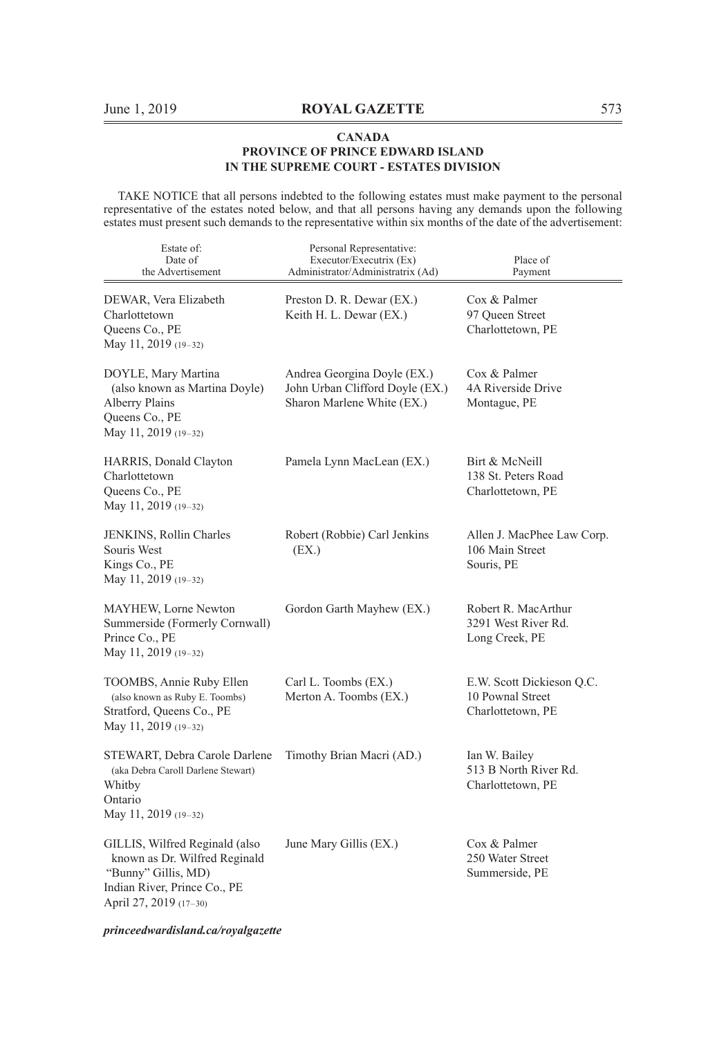TAKE NOTICE that all persons indebted to the following estates must make payment to the personal representative of the estates noted below, and that all persons having any demands upon the following estates must present such demands to the representative within six months of the date of the advertisement:

| Estate of:<br>Date of<br>the Advertisement                                                                                                       | Personal Representative:<br>Executor/Executrix (Ex)<br>Administrator/Administratrix (Ad)     | Place of<br>Payment                                                |
|--------------------------------------------------------------------------------------------------------------------------------------------------|----------------------------------------------------------------------------------------------|--------------------------------------------------------------------|
| DEWAR, Vera Elizabeth<br>Charlottetown<br>Queens Co., PE<br>May 11, 2019 (19-32)                                                                 | Preston D. R. Dewar (EX.)<br>Keith H. L. Dewar (EX.)                                         | Cox & Palmer<br>97 Queen Street<br>Charlottetown, PE               |
| DOYLE, Mary Martina<br>(also known as Martina Doyle)<br>Alberry Plains<br>Queens Co., PE<br>May 11, 2019 (19-32)                                 | Andrea Georgina Doyle (EX.)<br>John Urban Clifford Doyle (EX.)<br>Sharon Marlene White (EX.) | Cox & Palmer<br>4A Riverside Drive<br>Montague, PE                 |
| HARRIS, Donald Clayton<br>Charlottetown<br>Queens Co., PE<br>May 11, 2019 (19-32)                                                                | Pamela Lynn MacLean (EX.)                                                                    | Birt & McNeill<br>138 St. Peters Road<br>Charlottetown, PE         |
| JENKINS, Rollin Charles<br>Souris West<br>Kings Co., PE<br>May 11, 2019 (19-32)                                                                  | Robert (Robbie) Carl Jenkins<br>(EX.)                                                        | Allen J. MacPhee Law Corp.<br>106 Main Street<br>Souris, PE        |
| MAYHEW, Lorne Newton<br>Summerside (Formerly Cornwall)<br>Prince Co., PE<br>May 11, 2019 (19-32)                                                 | Gordon Garth Mayhew (EX.)                                                                    | Robert R. MacArthur<br>3291 West River Rd.<br>Long Creek, PE       |
| TOOMBS, Annie Ruby Ellen<br>(also known as Ruby E. Toombs)<br>Stratford, Queens Co., PE<br>May 11, 2019 (19-32)                                  | Carl L. Toombs (EX.)<br>Merton A. Toombs (EX.)                                               | E.W. Scott Dickieson Q.C.<br>10 Pownal Street<br>Charlottetown, PE |
| STEWART, Debra Carole Darlene<br>(aka Debra Caroll Darlene Stewart)<br>Whitby<br>Ontario<br>May 11, 2019 (19-32)                                 | Timothy Brian Macri (AD.)                                                                    | Ian W. Bailey<br>513 B North River Rd.<br>Charlottetown, PE        |
| GILLIS, Wilfred Reginald (also<br>known as Dr. Wilfred Reginald<br>"Bunny" Gillis, MD)<br>Indian River, Prince Co., PE<br>April 27, 2019 (17-30) | June Mary Gillis (EX.)                                                                       | Cox & Palmer<br>250 Water Street<br>Summerside, PE                 |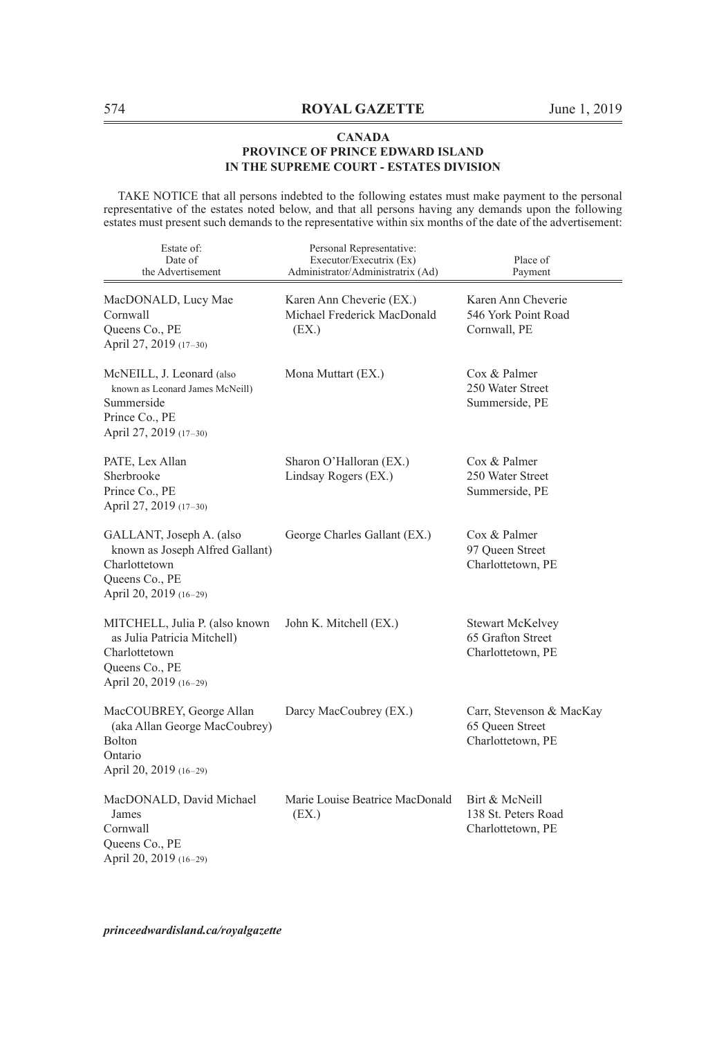TAKE NOTICE that all persons indebted to the following estates must make payment to the personal representative of the estates noted below, and that all persons having any demands upon the following estates must present such demands to the representative within six months of the date of the advertisement:

| Estate of:<br>Date of<br>the Advertisement                                                                                 | Personal Representative:<br>Executor/Executrix (Ex)<br>Administrator/Administratrix (Ad) | Place of<br>Payment                                               |
|----------------------------------------------------------------------------------------------------------------------------|------------------------------------------------------------------------------------------|-------------------------------------------------------------------|
| MacDONALD, Lucy Mae<br>Cornwall<br>Queens Co., PE<br>April 27, 2019 (17-30)                                                | Karen Ann Cheverie (EX.)<br>Michael Frederick MacDonald<br>(EX.)                         | Karen Ann Cheverie<br>546 York Point Road<br>Cornwall, PE         |
| McNEILL, J. Leonard (also<br>known as Leonard James McNeill)<br>Summerside<br>Prince Co., PE<br>April 27, 2019 (17-30)     | Mona Muttart (EX.)                                                                       | Cox & Palmer<br>250 Water Street<br>Summerside, PE                |
| PATE, Lex Allan<br>Sherbrooke<br>Prince Co., PE<br>April 27, 2019 (17-30)                                                  | Sharon O'Halloran (EX.)<br>Lindsay Rogers (EX.)                                          | Cox & Palmer<br>250 Water Street<br>Summerside, PE                |
| GALLANT, Joseph A. (also<br>known as Joseph Alfred Gallant)<br>Charlottetown<br>Queens Co., PE<br>April 20, 2019 (16-29)   | George Charles Gallant (EX.)                                                             | Cox & Palmer<br>97 Queen Street<br>Charlottetown, PE              |
| MITCHELL, Julia P. (also known<br>as Julia Patricia Mitchell)<br>Charlottetown<br>Queens Co., PE<br>April 20, 2019 (16-29) | John K. Mitchell (EX.)                                                                   | <b>Stewart McKelvey</b><br>65 Grafton Street<br>Charlottetown, PE |
| MacCOUBREY, George Allan<br>(aka Allan George MacCoubrey)<br><b>Bolton</b><br>Ontario<br>April 20, 2019 (16-29)            | Darcy MacCoubrey (EX.)                                                                   | Carr, Stevenson & MacKay<br>65 Queen Street<br>Charlottetown, PE  |
| MacDONALD, David Michael<br>James<br>Cornwall<br>Queens Co., PE<br>April 20, 2019 (16-29)                                  | Marie Louise Beatrice MacDonald<br>(EX.)                                                 | Birt & McNeill<br>138 St. Peters Road<br>Charlottetown, PE        |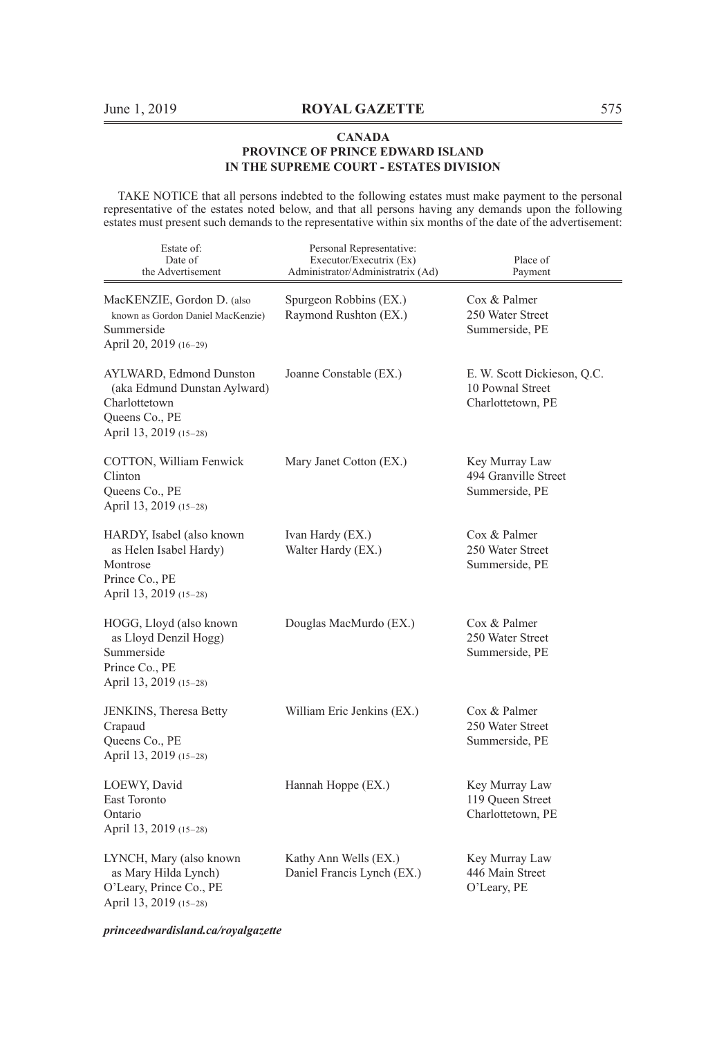TAKE NOTICE that all persons indebted to the following estates must make payment to the personal representative of the estates noted below, and that all persons having any demands upon the following estates must present such demands to the representative within six months of the date of the advertisement:

| Estate of:<br>Date of<br>the Advertisement                                                                           | Personal Representative:<br>Executor/Executrix (Ex)<br>Administrator/Administratrix (Ad) | Place of<br>Payment                                                  |
|----------------------------------------------------------------------------------------------------------------------|------------------------------------------------------------------------------------------|----------------------------------------------------------------------|
| MacKENZIE, Gordon D. (also<br>known as Gordon Daniel MacKenzie)<br>Summerside<br>April 20, 2019 (16-29)              | Spurgeon Robbins (EX.)<br>Raymond Rushton (EX.)                                          | Cox & Palmer<br>250 Water Street<br>Summerside, PE                   |
| AYLWARD, Edmond Dunston<br>(aka Edmund Dunstan Aylward)<br>Charlottetown<br>Queens Co., PE<br>April 13, 2019 (15-28) | Joanne Constable (EX.)                                                                   | E. W. Scott Dickieson, Q.C.<br>10 Pownal Street<br>Charlottetown, PE |
| COTTON, William Fenwick<br>Clinton<br>Queens Co., PE<br>April 13, 2019 (15-28)                                       | Mary Janet Cotton (EX.)                                                                  | Key Murray Law<br>494 Granville Street<br>Summerside, PE             |
| HARDY, Isabel (also known)<br>as Helen Isabel Hardy)<br>Montrose<br>Prince Co., PE<br>April 13, 2019 (15-28)         | Ivan Hardy (EX.)<br>Walter Hardy (EX.)                                                   | Cox & Palmer<br>250 Water Street<br>Summerside, PE                   |
| HOGG, Lloyd (also known<br>as Lloyd Denzil Hogg)<br>Summerside<br>Prince Co., PE<br>April 13, 2019 (15-28)           | Douglas MacMurdo (EX.)                                                                   | Cox & Palmer<br>250 Water Street<br>Summerside, PE                   |
| JENKINS, Theresa Betty<br>Crapaud<br>Queens Co., PE<br>April 13, 2019 (15-28)                                        | William Eric Jenkins (EX.)                                                               | Cox & Palmer<br>250 Water Street<br>Summerside, PE                   |
| LOEWY, David<br>East Toronto<br>Ontario<br>April 13, 2019 (15-28)                                                    | Hannah Hoppe (EX.)                                                                       | Key Murray Law<br>119 Queen Street<br>Charlottetown, PE              |
| LYNCH, Mary (also known<br>as Mary Hilda Lynch)<br>O'Leary, Prince Co., PE<br>April 13, 2019 (15-28)                 | Kathy Ann Wells (EX.)<br>Daniel Francis Lynch (EX.)                                      | Key Murray Law<br>446 Main Street<br>O'Leary, PE                     |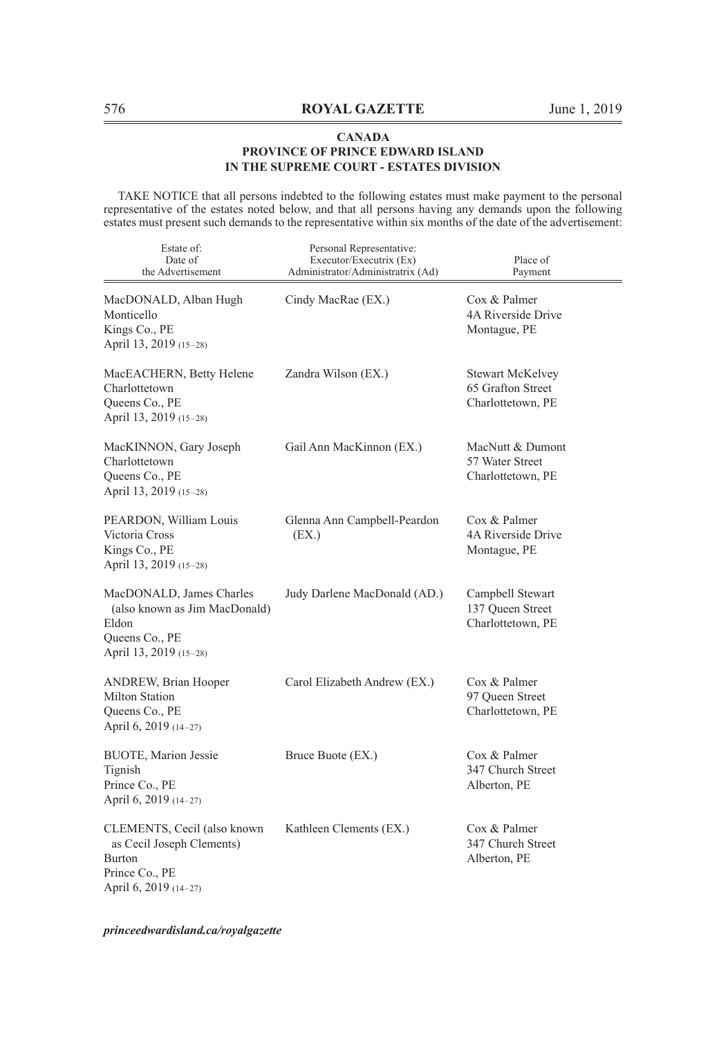TAKE NOTICE that all persons indebted to the following estates must make payment to the personal representative of the estates noted below, and that all persons having any demands upon the following estates must present such demands to the representative within six months of the date of the advertisement:

| Estate of:<br>Date of<br>the Advertisement                                                                           | Personal Representative:<br>Executor/Executrix (Ex)<br>Administrator/Administratrix (Ad) | Place of<br>Payment                                               |
|----------------------------------------------------------------------------------------------------------------------|------------------------------------------------------------------------------------------|-------------------------------------------------------------------|
| MacDONALD, Alban Hugh<br>Monticello<br>Kings Co., PE<br>April 13, 2019 (15-28)                                       | Cindy MacRae (EX.)                                                                       | Cox & Palmer<br>4A Riverside Drive<br>Montague, PE                |
| MacEACHERN, Betty Helene<br>Charlottetown<br>Queens Co., PE<br>April 13, 2019 (15-28)                                | Zandra Wilson (EX.)                                                                      | <b>Stewart McKelvey</b><br>65 Grafton Street<br>Charlottetown, PE |
| MacKINNON, Gary Joseph<br>Charlottetown<br>Queens Co., PE<br>April 13, 2019 (15-28)                                  | Gail Ann MacKinnon (EX.)                                                                 | MacNutt & Dumont<br>57 Water Street<br>Charlottetown, PE          |
| PEARDON, William Louis<br>Victoria Cross<br>Kings Co., PE<br>April 13, 2019 (15-28)                                  | Glenna Ann Campbell-Peardon<br>(EX.)                                                     | Cox & Palmer<br>4A Riverside Drive<br>Montague, PE                |
| MacDONALD, James Charles<br>(also known as Jim MacDonald)<br>Eldon<br>Queens Co., PE<br>April 13, 2019 (15-28)       | Judy Darlene MacDonald (AD.)                                                             | Campbell Stewart<br>137 Queen Street<br>Charlottetown, PE         |
| <b>ANDREW, Brian Hooper</b><br><b>Milton Station</b><br>Queens Co., PE<br>April 6, 2019 (14-27)                      | Carol Elizabeth Andrew (EX.)                                                             | Cox & Palmer<br>97 Queen Street<br>Charlottetown, PE              |
| <b>BUOTE, Marion Jessie</b><br>Tignish<br>Prince Co., PE<br>April 6, 2019 (14-27)                                    | Bruce Buote (EX.)                                                                        | Cox & Palmer<br>347 Church Street<br>Alberton, PE                 |
| CLEMENTS, Cecil (also known<br>as Cecil Joseph Clements)<br><b>Burton</b><br>Prince Co., PE<br>April 6, 2019 (14-27) | Kathleen Clements (EX.)                                                                  | Cox & Palmer<br>347 Church Street<br>Alberton, PE                 |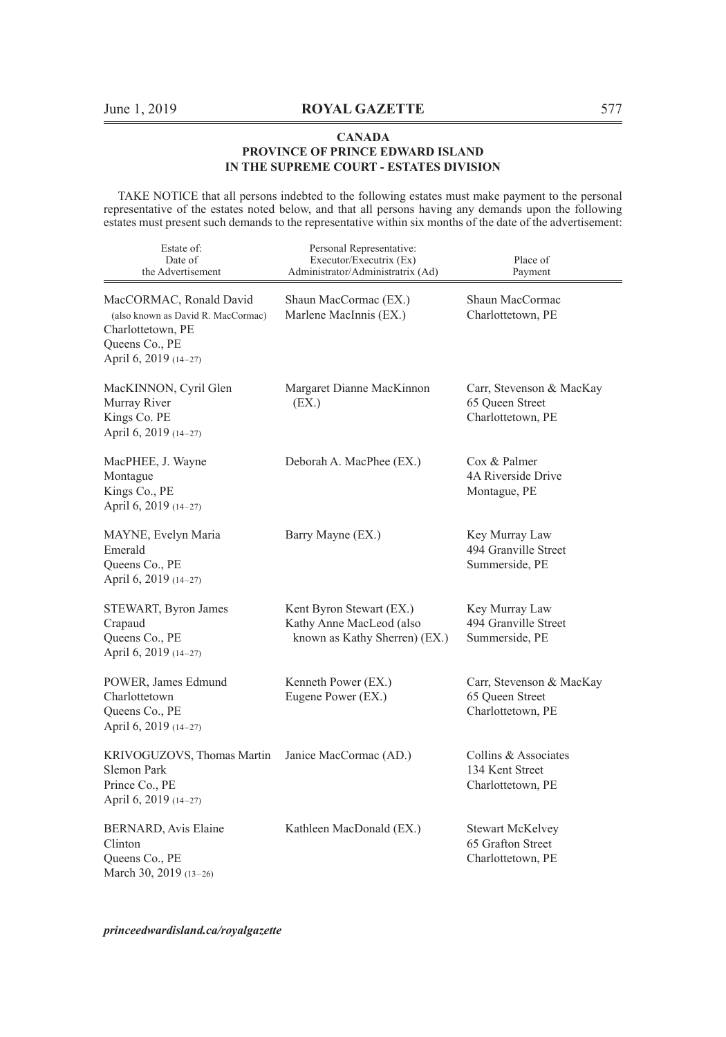TAKE NOTICE that all persons indebted to the following estates must make payment to the personal representative of the estates noted below, and that all persons having any demands upon the following estates must present such demands to the representative within six months of the date of the advertisement:

| Estate of:<br>Date of<br>the Advertisement                                                                                    | Personal Representative:<br>Executor/Executrix (Ex)<br>Administrator/Administratrix (Ad) | Place of<br>Payment                                               |
|-------------------------------------------------------------------------------------------------------------------------------|------------------------------------------------------------------------------------------|-------------------------------------------------------------------|
| MacCORMAC, Ronald David<br>(also known as David R. MacCormac)<br>Charlottetown, PE<br>Queens Co., PE<br>April 6, 2019 (14-27) | Shaun MacCormac (EX.)<br>Marlene MacInnis (EX.)                                          | Shaun MacCormac<br>Charlottetown, PE                              |
| MacKINNON, Cyril Glen<br>Murray River<br>Kings Co. PE<br>April 6, 2019 (14-27)                                                | Margaret Dianne MacKinnon<br>(EX.)                                                       | Carr, Stevenson & MacKay<br>65 Queen Street<br>Charlottetown, PE  |
| MacPHEE, J. Wayne<br>Montague<br>Kings Co., PE<br>April 6, 2019 (14-27)                                                       | Deborah A. MacPhee (EX.)                                                                 | Cox & Palmer<br>4A Riverside Drive<br>Montague, PE                |
| MAYNE, Evelyn Maria<br>Emerald<br>Queens Co., PE<br>April 6, 2019 (14-27)                                                     | Barry Mayne (EX.)                                                                        | Key Murray Law<br>494 Granville Street<br>Summerside, PE          |
| STEWART, Byron James<br>Crapaud<br>Queens Co., PE<br>April 6, 2019 (14-27)                                                    | Kent Byron Stewart (EX.)<br>Kathy Anne MacLeod (also<br>known as Kathy Sherren) (EX.)    | Key Murray Law<br>494 Granville Street<br>Summerside, PE          |
| POWER, James Edmund<br>Charlottetown<br>Queens Co., PE<br>April 6, 2019 (14-27)                                               | Kenneth Power (EX.)<br>Eugene Power (EX.)                                                | Carr, Stevenson & MacKay<br>65 Queen Street<br>Charlottetown, PE  |
| KRIVOGUZOVS, Thomas Martin<br>Slemon Park<br>Prince Co., PE<br>April 6, 2019 (14-27)                                          | Janice MacCormac (AD.)                                                                   | Collins & Associates<br>134 Kent Street<br>Charlottetown, PE      |
| BERNARD, Avis Elaine<br>Clinton<br>Queens Co., PE<br>March 30, 2019 (13-26)                                                   | Kathleen MacDonald (EX.)                                                                 | <b>Stewart McKelvey</b><br>65 Grafton Street<br>Charlottetown, PE |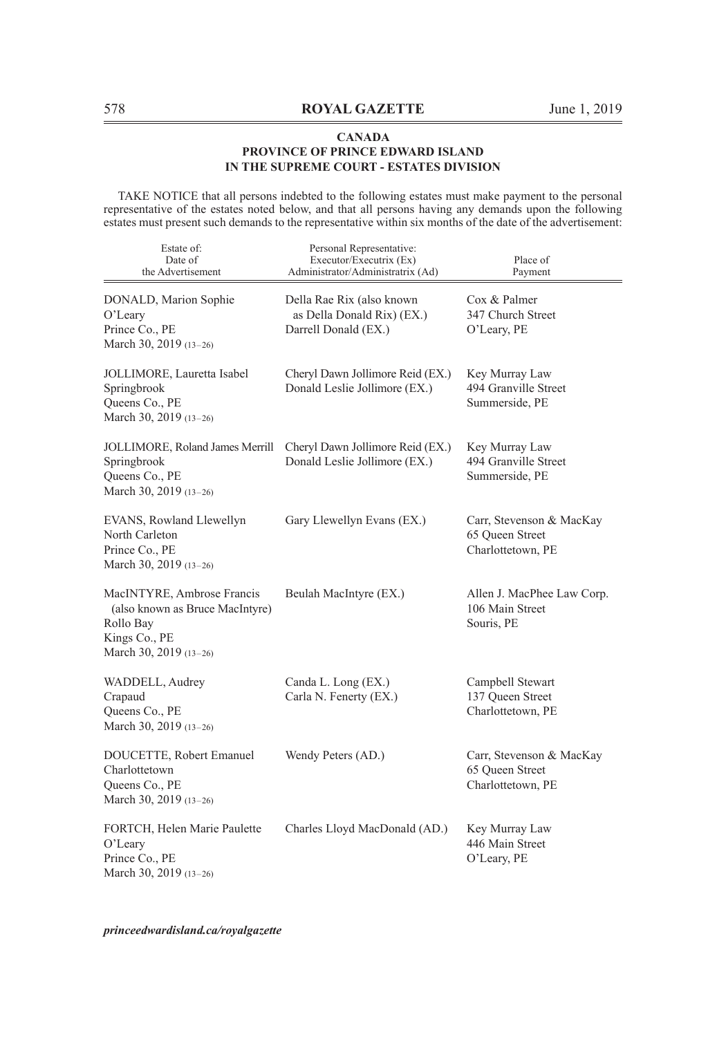TAKE NOTICE that all persons indebted to the following estates must make payment to the personal representative of the estates noted below, and that all persons having any demands upon the following estates must present such demands to the representative within six months of the date of the advertisement:

| Estate of:<br>Date of<br>the Advertisement                                                                            | Personal Representative:<br>Executor/Executrix (Ex)<br>Administrator/Administratrix (Ad) | Place of<br>Payment                                              |
|-----------------------------------------------------------------------------------------------------------------------|------------------------------------------------------------------------------------------|------------------------------------------------------------------|
| DONALD, Marion Sophie<br>O'Leary<br>Prince Co., PE<br>March 30, 2019 (13-26)                                          | Della Rae Rix (also known<br>as Della Donald Rix) (EX.)<br>Darrell Donald (EX.)          | Cox & Palmer<br>347 Church Street<br>O'Leary, PE                 |
| JOLLIMORE, Lauretta Isabel<br>Springbrook<br>Queens Co., PE<br>March 30, 2019 (13-26)                                 | Cheryl Dawn Jollimore Reid (EX.)<br>Donald Leslie Jollimore (EX.)                        | Key Murray Law<br>494 Granville Street<br>Summerside, PE         |
| JOLLIMORE, Roland James Merrill<br>Springbrook<br>Queens Co., PE<br>March 30, 2019 (13-26)                            | Cheryl Dawn Jollimore Reid (EX.)<br>Donald Leslie Jollimore (EX.)                        | Key Murray Law<br>494 Granville Street<br>Summerside, PE         |
| EVANS, Rowland Llewellyn<br>North Carleton<br>Prince Co., PE<br>March 30, 2019 (13-26)                                | Gary Llewellyn Evans (EX.)                                                               | Carr, Stevenson & MacKay<br>65 Queen Street<br>Charlottetown, PE |
| MacINTYRE, Ambrose Francis<br>(also known as Bruce MacIntyre)<br>Rollo Bay<br>Kings Co., PE<br>March 30, 2019 (13-26) | Beulah MacIntyre (EX.)                                                                   | Allen J. MacPhee Law Corp.<br>106 Main Street<br>Souris, PE      |
| WADDELL, Audrey<br>Crapaud<br>Queens Co., PE<br>March 30, 2019 (13-26)                                                | Canda L. Long (EX.)<br>Carla N. Fenerty (EX.)                                            | Campbell Stewart<br>137 Queen Street<br>Charlottetown, PE        |
| DOUCETTE, Robert Emanuel<br>Charlottetown<br>Queens Co., PE<br>March 30, 2019 (13-26)                                 | Wendy Peters (AD.)                                                                       | Carr, Stevenson & MacKay<br>65 Queen Street<br>Charlottetown, PE |
| FORTCH, Helen Marie Paulette<br>O'Leary<br>Prince Co., PE<br>March 30, 2019 (13-26)                                   | Charles Lloyd MacDonald (AD.)                                                            | Key Murray Law<br>446 Main Street<br>O'Leary, PE                 |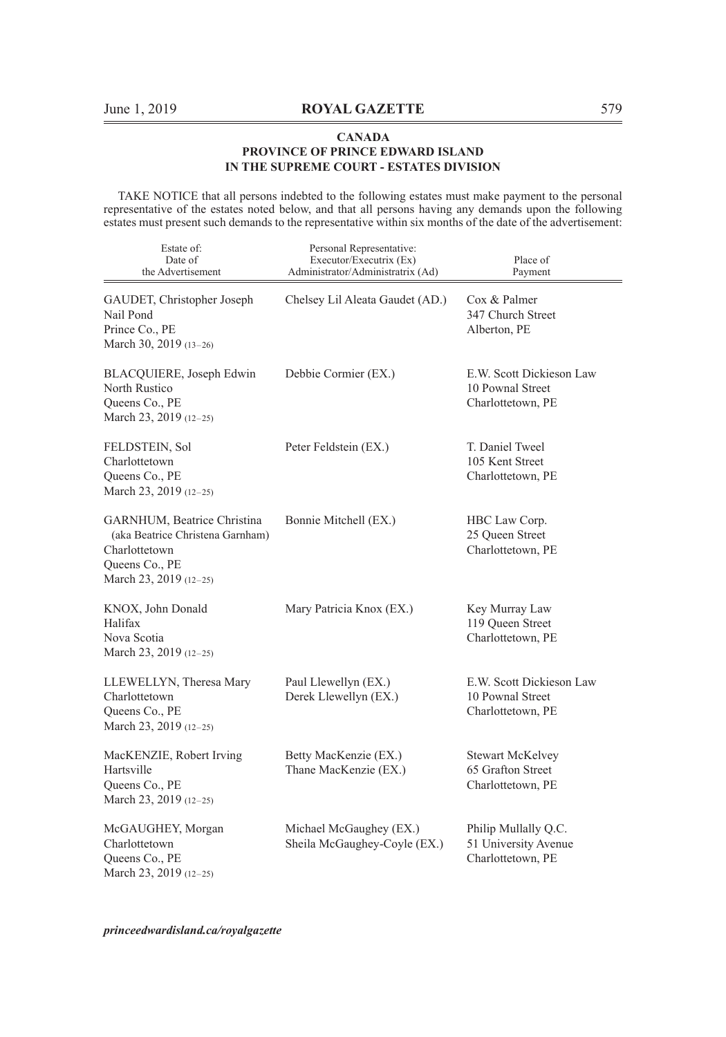TAKE NOTICE that all persons indebted to the following estates must make payment to the personal representative of the estates noted below, and that all persons having any demands upon the following estates must present such demands to the representative within six months of the date of the advertisement:

| Estate of:<br>Date of<br>the Advertisement                                                                                   | Personal Representative:<br>Executor/Executrix (Ex)<br>Administrator/Administratrix (Ad) | Place of<br>Payment                                               |
|------------------------------------------------------------------------------------------------------------------------------|------------------------------------------------------------------------------------------|-------------------------------------------------------------------|
| GAUDET, Christopher Joseph<br>Nail Pond<br>Prince Co., PE<br>March 30, 2019 (13-26)                                          | Chelsey Lil Aleata Gaudet (AD.)                                                          | Cox & Palmer<br>347 Church Street<br>Alberton, PE                 |
| BLACQUIERE, Joseph Edwin<br>North Rustico<br>Queens Co., PE<br>March 23, 2019 (12-25)                                        | Debbie Cormier (EX.)                                                                     | E.W. Scott Dickieson Law<br>10 Pownal Street<br>Charlottetown, PE |
| FELDSTEIN, Sol<br>Charlottetown<br>Queens Co., PE<br>March 23, 2019 (12-25)                                                  | Peter Feldstein (EX.)                                                                    | T. Daniel Tweel<br>105 Kent Street<br>Charlottetown, PE           |
| GARNHUM, Beatrice Christina<br>(aka Beatrice Christena Garnham)<br>Charlottetown<br>Queens Co., PE<br>March 23, 2019 (12-25) | Bonnie Mitchell (EX.)                                                                    | HBC Law Corp.<br>25 Queen Street<br>Charlottetown, PE             |
| KNOX, John Donald<br>Halifax<br>Nova Scotia<br>March 23, 2019 (12-25)                                                        | Mary Patricia Knox (EX.)                                                                 | Key Murray Law<br>119 Queen Street<br>Charlottetown, PE           |
| LLEWELLYN, Theresa Mary<br>Charlottetown<br>Queens Co., PE<br>March 23, 2019 (12-25)                                         | Paul Llewellyn (EX.)<br>Derek Llewellyn (EX.)                                            | E.W. Scott Dickieson Law<br>10 Pownal Street<br>Charlottetown, PE |
| MacKENZIE, Robert Irving<br>Hartsville<br>Queens Co., PE<br>March 23, 2019 (12-25)                                           | Betty MacKenzie (EX.)<br>Thane MacKenzie (EX.)                                           | <b>Stewart McKelvey</b><br>65 Grafton Street<br>Charlottetown, PE |
| McGAUGHEY, Morgan<br>Charlottetown<br>Queens Co., PE<br>March 23, 2019 (12-25)                                               | Michael McGaughey (EX.)<br>Sheila McGaughey-Coyle (EX.)                                  | Philip Mullally Q.C.<br>51 University Avenue<br>Charlottetown, PE |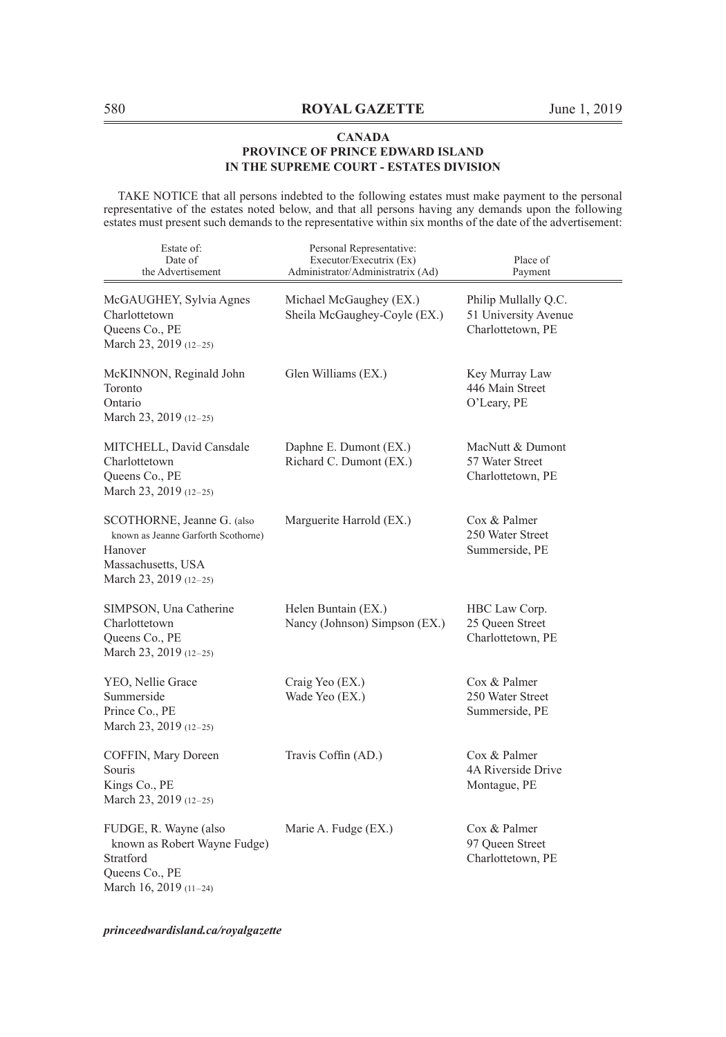TAKE NOTICE that all persons indebted to the following estates must make payment to the personal representative of the estates noted below, and that all persons having any demands upon the following estates must present such demands to the representative within six months of the date of the advertisement:

| Estate of:<br>Date of<br>the Advertisement                                                                                   | Personal Representative:<br>Executor/Executrix (Ex)<br>Administrator/Administratrix (Ad) | Place of<br>Payment                                               |
|------------------------------------------------------------------------------------------------------------------------------|------------------------------------------------------------------------------------------|-------------------------------------------------------------------|
| McGAUGHEY, Sylvia Agnes<br>Charlottetown<br>Queens Co., PE<br>March 23, 2019 (12-25)                                         | Michael McGaughey (EX.)<br>Sheila McGaughey-Coyle (EX.)                                  | Philip Mullally Q.C.<br>51 University Avenue<br>Charlottetown, PE |
| McKINNON, Reginald John<br>Toronto<br>Ontario<br>March 23, 2019 (12-25)                                                      | Glen Williams (EX.)                                                                      | Key Murray Law<br>446 Main Street<br>O'Leary, PE                  |
| MITCHELL, David Cansdale<br>Charlottetown<br>Queens Co., PE<br>March 23, 2019 (12-25)                                        | Daphne E. Dumont (EX.)<br>Richard C. Dumont (EX.)                                        | MacNutt & Dumont<br>57 Water Street<br>Charlottetown, PE          |
| SCOTHORNE, Jeanne G. (also<br>known as Jeanne Garforth Scothorne)<br>Hanover<br>Massachusetts, USA<br>March 23, 2019 (12-25) | Marguerite Harrold (EX.)                                                                 | Cox & Palmer<br>250 Water Street<br>Summerside, PE                |
| SIMPSON, Una Catherine<br>Charlottetown<br>Queens Co., PE<br>March 23, 2019 (12-25)                                          | Helen Buntain (EX.)<br>Nancy (Johnson) Simpson (EX.)                                     | HBC Law Corp.<br>25 Queen Street<br>Charlottetown, PE             |
| YEO, Nellie Grace<br>Summerside<br>Prince Co., PE<br>March 23, 2019 (12-25)                                                  | Craig Yeo (EX.)<br>Wade Yeo (EX.)                                                        | Cox & Palmer<br>250 Water Street<br>Summerside, PE                |
| COFFIN, Mary Doreen<br>Souris<br>Kings Co., PE<br>March 23, 2019 (12-25)                                                     | Travis Coffin (AD.)                                                                      | Cox & Palmer<br>4A Riverside Drive<br>Montague, PE                |
| FUDGE, R. Wayne (also<br>known as Robert Wayne Fudge)<br>Stratford<br>Queens Co., PE<br>March 16, 2019 (11-24)               | Marie A. Fudge (EX.)                                                                     | Cox & Palmer<br>97 Queen Street<br>Charlottetown, PE              |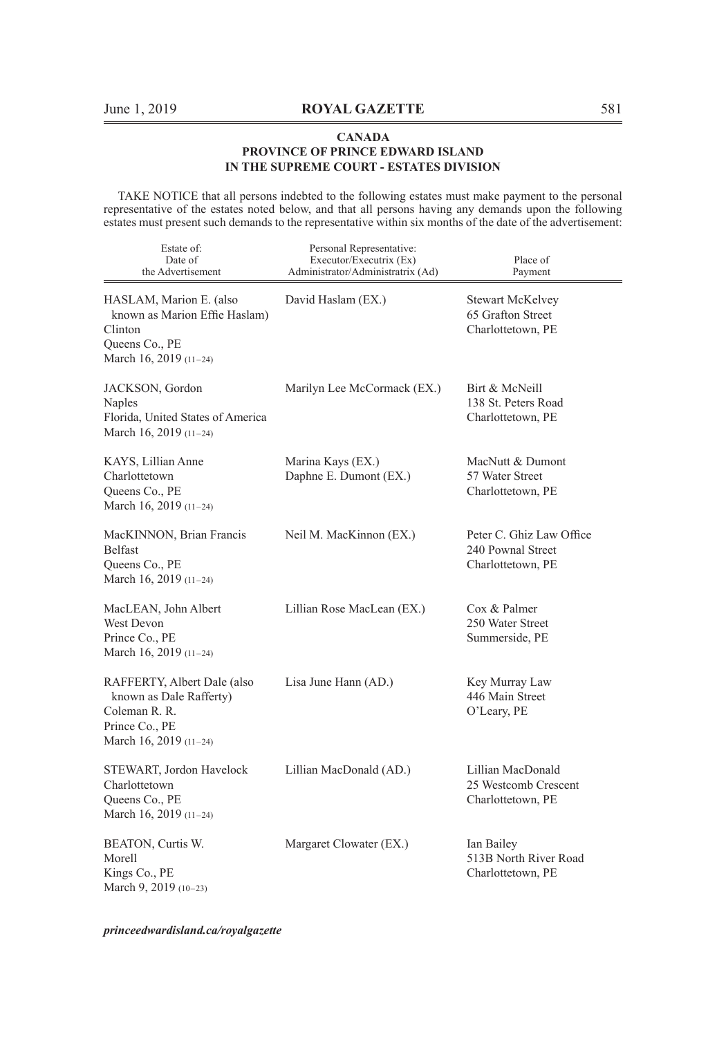TAKE NOTICE that all persons indebted to the following estates must make payment to the personal representative of the estates noted below, and that all persons having any demands upon the following estates must present such demands to the representative within six months of the date of the advertisement:

| Estate of:<br>Date of<br>the Advertisement                                                                          | Personal Representative:<br>Executor/Executrix (Ex)<br>Administrator/Administratrix (Ad) | Place of<br>Payment                                                |
|---------------------------------------------------------------------------------------------------------------------|------------------------------------------------------------------------------------------|--------------------------------------------------------------------|
| HASLAM, Marion E. (also<br>known as Marion Effie Haslam)<br>Clinton<br>Queens Co., PE<br>March 16, 2019 (11-24)     | David Haslam (EX.)                                                                       | Stewart McKelvey<br>65 Grafton Street<br>Charlottetown, PE         |
| JACKSON, Gordon<br>Naples<br>Florida, United States of America<br>March 16, 2019 (11-24)                            | Marilyn Lee McCormack (EX.)                                                              | Birt & McNeill<br>138 St. Peters Road<br>Charlottetown, PE         |
| KAYS, Lillian Anne<br>Charlottetown<br>Queens Co., PE<br>March 16, 2019 (11-24)                                     | Marina Kays (EX.)<br>Daphne E. Dumont (EX.)                                              | MacNutt & Dumont<br>57 Water Street<br>Charlottetown, PE           |
| MacKINNON, Brian Francis<br>Belfast<br>Queens Co., PE<br>March 16, 2019 (11-24)                                     | Neil M. MacKinnon (EX.)                                                                  | Peter C. Ghiz Law Office<br>240 Pownal Street<br>Charlottetown, PE |
| MacLEAN, John Albert<br>West Devon<br>Prince Co., PE<br>March 16, 2019 (11-24)                                      | Lillian Rose MacLean (EX.)                                                               | Cox & Palmer<br>250 Water Street<br>Summerside, PE                 |
| RAFFERTY, Albert Dale (also<br>known as Dale Rafferty)<br>Coleman R. R.<br>Prince Co., PE<br>March 16, 2019 (11-24) | Lisa June Hann (AD.)                                                                     | Key Murray Law<br>446 Main Street<br>O'Leary, PE                   |
| STEWART, Jordon Havelock<br>Charlottetown<br>Queens Co., PE<br>March 16, 2019 (11-24)                               | Lillian MacDonald (AD.)                                                                  | Lillian MacDonald<br>25 Westcomb Crescent<br>Charlottetown, PE     |
| BEATON, Curtis W.<br>Morell<br>Kings Co., PE<br>March 9, 2019 (10-23)                                               | Margaret Clowater (EX.)                                                                  | Ian Bailey<br>513B North River Road<br>Charlottetown, PE           |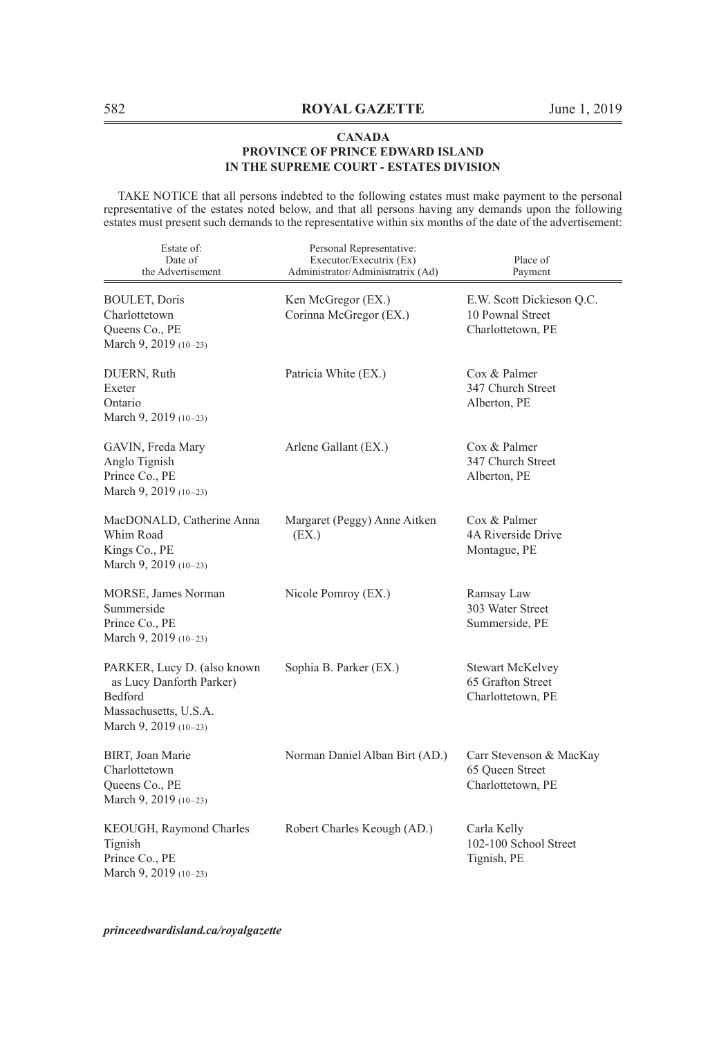TAKE NOTICE that all persons indebted to the following estates must make payment to the personal representative of the estates noted below, and that all persons having any demands upon the following estates must present such demands to the representative within six months of the date of the advertisement:

| Estate of:<br>Date of<br>the Advertisement                                                                                  | Personal Representative:<br>Executor/Executrix (Ex)<br>Administrator/Administratrix (Ad) | Place of<br>Payment                                                |
|-----------------------------------------------------------------------------------------------------------------------------|------------------------------------------------------------------------------------------|--------------------------------------------------------------------|
| <b>BOULET, Doris</b><br>Charlottetown<br>Queens Co., PE<br>March 9, 2019 (10-23)                                            | Ken McGregor (EX.)<br>Corinna McGregor (EX.)                                             | E.W. Scott Dickieson Q.C.<br>10 Pownal Street<br>Charlottetown, PE |
| DUERN, Ruth<br>Exeter<br>Ontario<br>March 9, 2019 (10-23)                                                                   | Patricia White (EX.)                                                                     | Cox & Palmer<br>347 Church Street<br>Alberton, PE                  |
| GAVIN, Freda Mary<br>Anglo Tignish<br>Prince Co., PE<br>March 9, 2019 (10-23)                                               | Arlene Gallant (EX.)                                                                     | Cox & Palmer<br>347 Church Street<br>Alberton, PE                  |
| MacDONALD, Catherine Anna<br>Whim Road<br>Kings Co., PE<br>March 9, 2019 $(10-23)$                                          | Margaret (Peggy) Anne Aitken<br>(EX.)                                                    | Cox & Palmer<br>4A Riverside Drive<br>Montague, PE                 |
| MORSE, James Norman<br>Summerside<br>Prince Co., PE<br>March 9, 2019 (10-23)                                                | Nicole Pomroy (EX.)                                                                      | Ramsay Law<br>303 Water Street<br>Summerside, PE                   |
| PARKER, Lucy D. (also known<br>as Lucy Danforth Parker)<br><b>Bedford</b><br>Massachusetts, U.S.A.<br>March 9, 2019 (10-23) | Sophia B. Parker (EX.)                                                                   | <b>Stewart McKelvey</b><br>65 Grafton Street<br>Charlottetown, PE  |
| BIRT, Joan Marie<br>Charlottetown<br>Queens Co., PE<br>March 9, 2019 (10-23)                                                | Norman Daniel Alban Birt (AD.)                                                           | Carr Stevenson & MacKay<br>65 Queen Street<br>Charlottetown, PE    |
| KEOUGH, Raymond Charles<br>Tignish<br>Prince Co., PE<br>March 9, 2019 (10-23)                                               | Robert Charles Keough (AD.)                                                              | Carla Kelly<br>102-100 School Street<br>Tignish, PE                |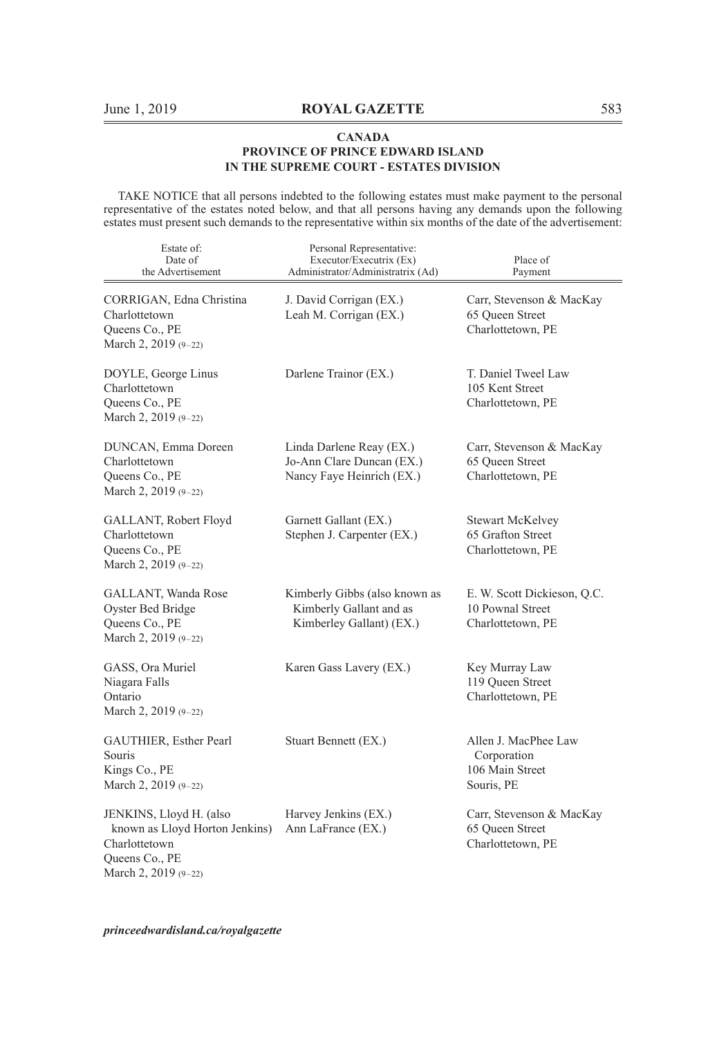TAKE NOTICE that all persons indebted to the following estates must make payment to the personal representative of the estates noted below, and that all persons having any demands upon the following estates must present such demands to the representative within six months of the date of the advertisement:

| Estate of:<br>Date of<br>the Advertisement                                                                           | Personal Representative:<br>Executor/Executrix (Ex)<br>Administrator/Administratrix (Ad) | Place of<br>Payment                                                  |
|----------------------------------------------------------------------------------------------------------------------|------------------------------------------------------------------------------------------|----------------------------------------------------------------------|
| CORRIGAN, Edna Christina<br>Charlottetown<br>Queens Co., PE<br>March 2, 2019 (9-22)                                  | J. David Corrigan (EX.)<br>Leah M. Corrigan (EX.)                                        | Carr, Stevenson & MacKay<br>65 Queen Street<br>Charlottetown, PE     |
| DOYLE, George Linus<br>Charlottetown<br>Queens Co., PE<br>March 2, 2019 (9-22)                                       | Darlene Trainor (EX.)                                                                    | T. Daniel Tweel Law<br>105 Kent Street<br>Charlottetown, PE          |
| DUNCAN, Emma Doreen<br>Charlottetown<br>Queens Co., PE<br>March 2, 2019 (9-22)                                       | Linda Darlene Reay (EX.)<br>Jo-Ann Clare Duncan (EX.)<br>Nancy Faye Heinrich (EX.)       | Carr, Stevenson & MacKay<br>65 Queen Street<br>Charlottetown, PE     |
| GALLANT, Robert Floyd<br>Charlottetown<br>Queens Co., PE<br>March 2, 2019 (9-22)                                     | Garnett Gallant (EX.)<br>Stephen J. Carpenter (EX.)                                      | Stewart McKelvey<br>65 Grafton Street<br>Charlottetown, PE           |
| GALLANT, Wanda Rose<br>Oyster Bed Bridge<br>Queens Co., PE<br>March 2, 2019 (9-22)                                   | Kimberly Gibbs (also known as<br>Kimberly Gallant and as<br>Kimberley Gallant) (EX.)     | E. W. Scott Dickieson, Q.C.<br>10 Pownal Street<br>Charlottetown, PE |
| GASS, Ora Muriel<br>Niagara Falls<br>Ontario<br>March 2, 2019 (9-22)                                                 | Karen Gass Lavery (EX.)                                                                  | Key Murray Law<br>119 Queen Street<br>Charlottetown, PE              |
| GAUTHIER, Esther Pearl<br>Souris<br>Kings Co., PE<br>March 2, 2019 (9-22)                                            | Stuart Bennett (EX.)                                                                     | Allen J. MacPhee Law<br>Corporation<br>106 Main Street<br>Souris, PE |
| JENKINS, Lloyd H. (also<br>known as Lloyd Horton Jenkins)<br>Charlottetown<br>Queens Co., PE<br>March 2, 2019 (9-22) | Harvey Jenkins (EX.)<br>Ann LaFrance (EX.)                                               | Carr, Stevenson & MacKay<br>65 Oueen Street<br>Charlottetown, PE     |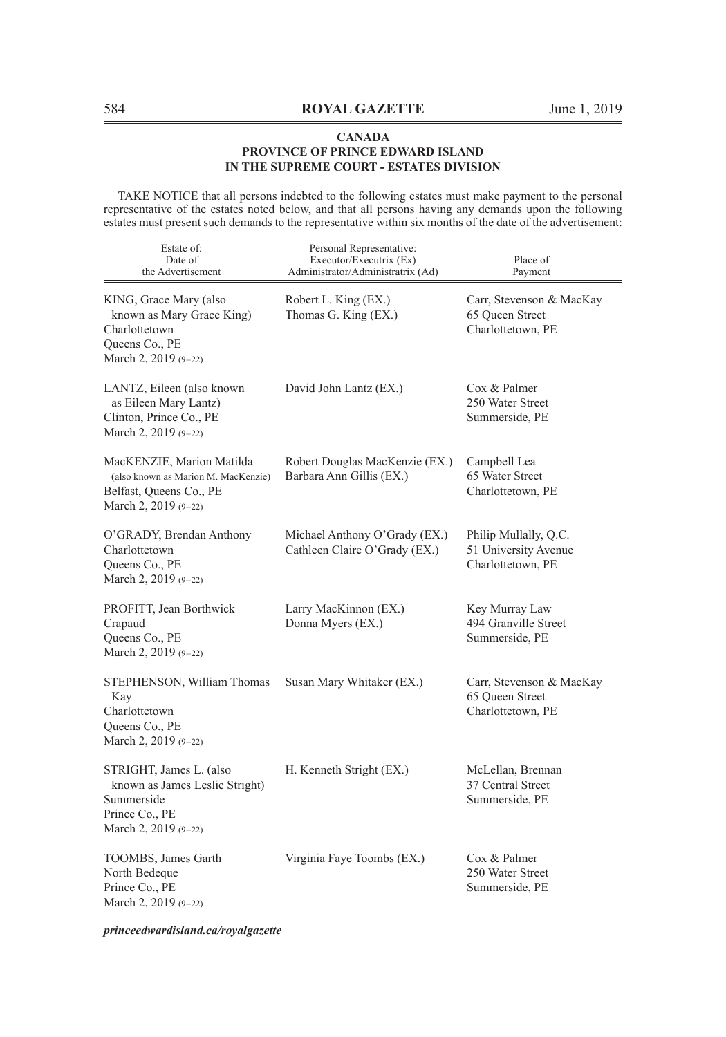TAKE NOTICE that all persons indebted to the following estates must make payment to the personal representative of the estates noted below, and that all persons having any demands upon the following estates must present such demands to the representative within six months of the date of the advertisement:

| Estate of:<br>Date of<br>the Advertisement                                                                           | Personal Representative:<br>Executor/Executrix (Ex)<br>Administrator/Administratrix (Ad) | Place of<br>Payment                                                |
|----------------------------------------------------------------------------------------------------------------------|------------------------------------------------------------------------------------------|--------------------------------------------------------------------|
| KING, Grace Mary (also<br>known as Mary Grace King)<br>Charlottetown<br>Queens Co., PE<br>March 2, 2019 (9-22)       | Robert L. King (EX.)<br>Thomas G. King (EX.)                                             | Carr, Stevenson & MacKay<br>65 Queen Street<br>Charlottetown, PE   |
| LANTZ, Eileen (also known<br>as Eileen Mary Lantz)<br>Clinton, Prince Co., PE<br>March 2, 2019 (9-22)                | David John Lantz (EX.)                                                                   | Cox & Palmer<br>250 Water Street<br>Summerside, PE                 |
| MacKENZIE, Marion Matilda<br>(also known as Marion M. MacKenzie)<br>Belfast, Queens Co., PE<br>March 2, $2019(9-22)$ | Robert Douglas MacKenzie (EX.)<br>Barbara Ann Gillis (EX.)                               | Campbell Lea<br>65 Water Street<br>Charlottetown, PE               |
| O'GRADY, Brendan Anthony<br>Charlottetown<br>Queens Co., PE<br>March 2, 2019 (9-22)                                  | Michael Anthony O'Grady (EX.)<br>Cathleen Claire O'Grady (EX.)                           | Philip Mullally, Q.C.<br>51 University Avenue<br>Charlottetown, PE |
| PROFITT, Jean Borthwick<br>Crapaud<br>Queens Co., PE<br>March 2, 2019 (9-22)                                         | Larry MacKinnon (EX.)<br>Donna Myers (EX.)                                               | Key Murray Law<br>494 Granville Street<br>Summerside, PE           |
| STEPHENSON, William Thomas<br>Kay<br>Charlottetown<br>Queens Co., PE<br>March 2, 2019 (9-22)                         | Susan Mary Whitaker (EX.)                                                                | Carr, Stevenson & MacKay<br>65 Oueen Street<br>Charlottetown, PE   |
| STRIGHT, James L. (also<br>known as James Leslie Stright)<br>Summerside<br>Prince Co., PE<br>March 2, 2019 $(9-22)$  | H. Kenneth Stright (EX.)                                                                 | McLellan, Brennan<br>37 Central Street<br>Summerside, PE           |
| TOOMBS, James Garth<br>North Bedeque<br>Prince Co., PE<br>March 2, 2019 (9-22)                                       | Virginia Faye Toombs (EX.)                                                               | Cox & Palmer<br>250 Water Street<br>Summerside, PE                 |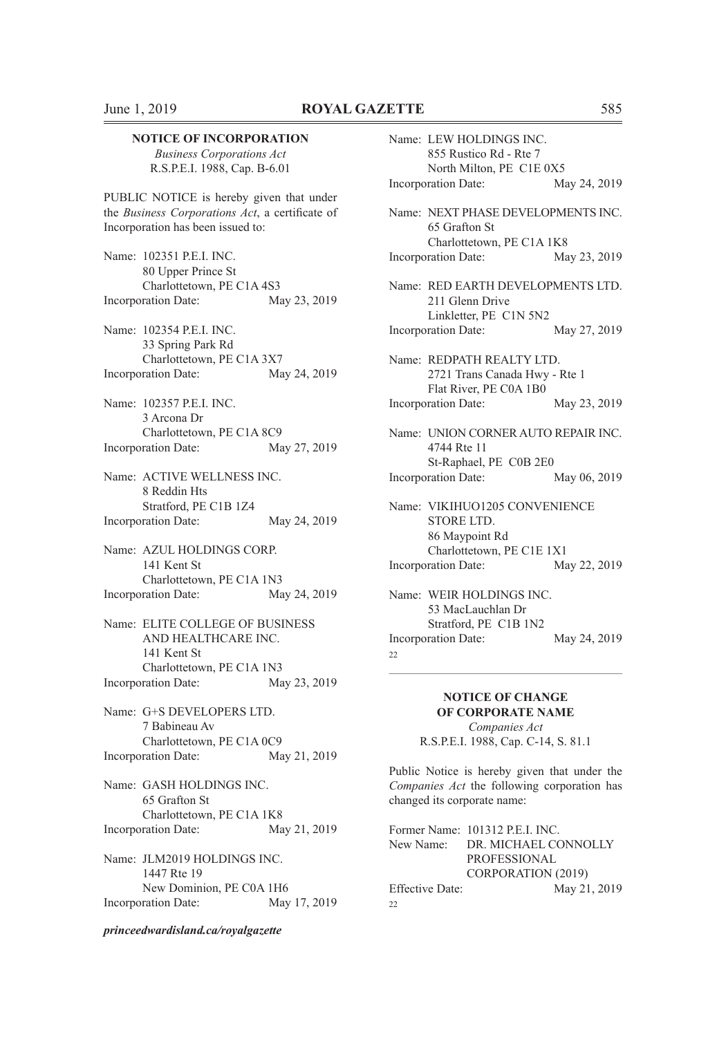#### **NOTICE OF INCORPORATION**

*Business Corporations Act* R.S.P.E.I. 1988, Cap. B-6.01

PUBLIC NOTICE is hereby given that under the *Business Corporations Act*, a certificate of Incorporation has been issued to:

Name: 102351 P.E.I. INC. 80 Upper Prince St Charlottetown, PE C1A 4S3 Incorporation Date: May 23, 2019

Name: 102354 P.E.I. INC. 33 Spring Park Rd Charlottetown, PE C1A 3X7 Incorporation Date: May 24, 2019

Name: 102357 P.E.I. INC. 3 Arcona Dr Charlottetown, PE C1A 8C9<br>ration Date: May 27, 2019 Incorporation Date:

Name: ACTIVE WELLNESS INC. 8 Reddin Hts Stratford, PE C1B 1Z4 Incorporation Date: May 24, 2019

Name: AZUL HOLDINGS CORP. 141 Kent St Charlottetown, PE C1A 1N3 Incorporation Date: May 24, 2019

Name: ELITE COLLEGE OF BUSINESS AND HEALTHCARE INC. 141 Kent St Charlottetown, PE C1A 1N3 Incorporation Date: May 23, 2019

Name: G+S DEVELOPERS LTD. 7 Babineau Av Charlottetown, PE C1A 0C9 Incorporation Date: May 21, 2019

Name: GASH HOLDINGS INC. 65 Grafton St Charlottetown, PE C1A 1K8 Incorporation Date: May 21, 2019

Name: JLM2019 HOLDINGS INC. 1447 Rte 19 New Dominion, PE C0A 1H6 Incorporation Date: May 17, 2019

*princeedwardisland.ca/royalgazette*

Name: LEW HOLDINGS INC. 855 Rustico Rd - Rte 7 North Milton, PE C1E 0X5 Incorporation Date: May 24, 2019 Name: NEXT PHASE DEVELOPMENTS INC. 65 Grafton St Charlottetown, PE C1A 1K8 Incorporation Date: May 23, 2019 Name: RED EARTH DEVELOPMENTS LTD. 211 Glenn Drive Linkletter, PE C1N 5N2 Incorporation Date: May 27, 2019 Name: REDPATH REALTY LTD. 2721 Trans Canada Hwy - Rte 1 Flat River, PE C0A 1B0 Incorporation Date: May 23, 2019 Name: UNION CORNER AUTO REPAIR INC. 4744 Rte 11 St-Raphael, PE C0B 2E0 Incorporation Date: May 06, 2019 Name: VIKIHUO1205 CONVENIENCE STORE LTD. 86 Maypoint Rd Charlottetown, PE C1E 1X1 Incorporation Date: May 22, 2019 Name: WEIR HOLDINGS INC. 53 MacLauchlan Dr Stratford, PE C1B 1N2 Incorporation Date: May 24, 2019

22

## **NOTICE OF CHANGE OF CORPORATE NAME**

 $\mathcal{L}_\text{max} = \mathcal{L}_\text{max} = \mathcal{L}_\text{max} = \mathcal{L}_\text{max} = \mathcal{L}_\text{max} = \mathcal{L}_\text{max} = \mathcal{L}_\text{max} = \mathcal{L}_\text{max} = \mathcal{L}_\text{max} = \mathcal{L}_\text{max} = \mathcal{L}_\text{max} = \mathcal{L}_\text{max} = \mathcal{L}_\text{max} = \mathcal{L}_\text{max} = \mathcal{L}_\text{max} = \mathcal{L}_\text{max} = \mathcal{L}_\text{max} = \mathcal{L}_\text{max} = \mathcal{$ 

*Companies Act* R.S.P.E.I. 1988, Cap. C-14, S. 81.1

Public Notice is hereby given that under the *Companies Act* the following corporation has changed its corporate name:

Former Name: 101312 P.E.I. INC. New Name: DR. MICHAEL CONNOLLY PROFESSIONAL CORPORATION (2019) Effective Date: May 21, 2019  $22$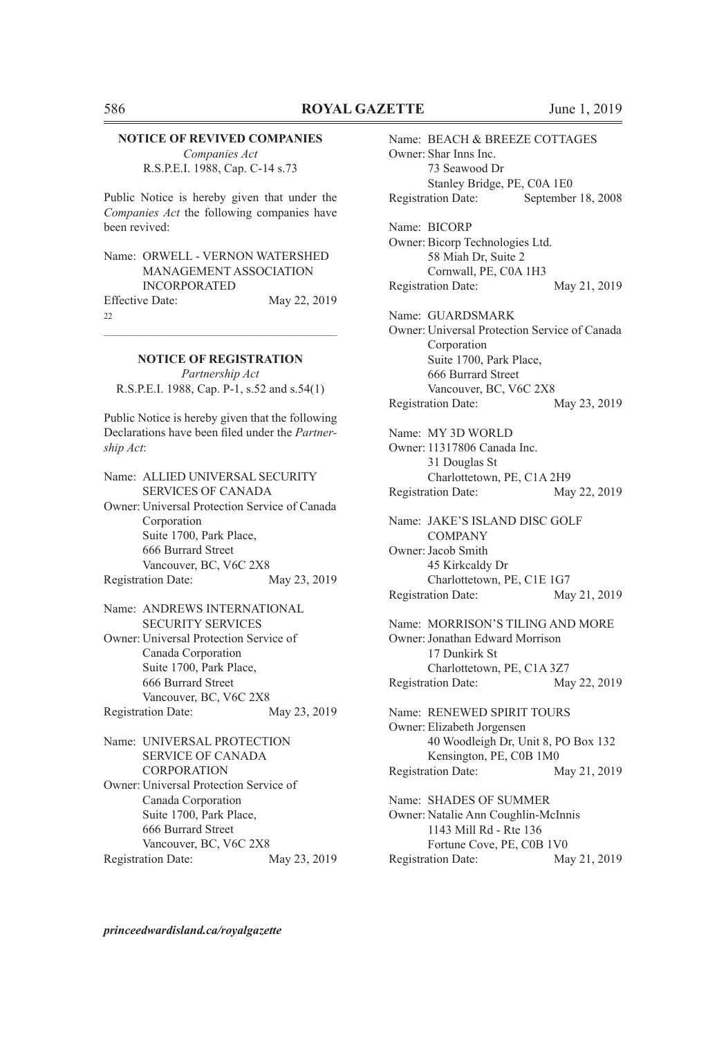#### **NOTICE OF REVIVED COMPANIES**

*Companies Act* R.S.P.E.I. 1988, Cap. C-14 s.73

Public Notice is hereby given that under the *Companies Act* the following companies have been revived:

Name: ORWELL - VERNON WATERSHED MANAGEMENT ASSOCIATION INCORPORATED Effective Date: May 22, 2019

22

## $\mathcal{L}_\text{max} = \mathcal{L}_\text{max} = \mathcal{L}_\text{max} = \mathcal{L}_\text{max} = \mathcal{L}_\text{max} = \mathcal{L}_\text{max} = \mathcal{L}_\text{max} = \mathcal{L}_\text{max} = \mathcal{L}_\text{max} = \mathcal{L}_\text{max} = \mathcal{L}_\text{max} = \mathcal{L}_\text{max} = \mathcal{L}_\text{max} = \mathcal{L}_\text{max} = \mathcal{L}_\text{max} = \mathcal{L}_\text{max} = \mathcal{L}_\text{max} = \mathcal{L}_\text{max} = \mathcal{$ **NOTICE OF REGISTRATION**

*Partnership Act* R.S.P.E.I. 1988, Cap. P-1, s.52 and s.54(1)

Public Notice is hereby given that the following Declarations have been filed under the *Partnership Act*:

Name: ALLIED UNIVERSAL SECURITY SERVICES OF CANADA Owner: Universal Protection Service of Canada Corporation Suite 1700, Park Place, 666 Burrard Street Vancouver, BC, V6C 2X8<br>ation Date: May 23, 2019 Registration Date:

Name: ANDREWS INTERNATIONAL SECURITY SERVICES Owner: Universal Protection Service of Canada Corporation Suite 1700, Park Place, 666 Burrard Street Vancouver, BC, V6C 2X8 Registration Date: May 23, 2019

Name: UNIVERSAL PROTECTION SERVICE OF CANADA **CORPORATION** Owner: Universal Protection Service of Canada Corporation Suite 1700, Park Place, 666 Burrard Street Vancouver, BC, V6C 2X8 Registration Date: May 23, 2019 Name: BEACH & BREEZE COTTAGES Owner: Shar Inns Inc. 73 Seawood Dr Stanley Bridge, PE, C0A 1E0 Registration Date: September 18, 2008 Name: BICORP Owner: Bicorp Technologies Ltd. 58 Miah Dr, Suite 2 Cornwall, PE, C0A 1H3 Registration Date: May 21, 2019 Name: GUARDSMARK Owner: Universal Protection Service of Canada Corporation Suite 1700, Park Place, 666 Burrard Street Vancouver, BC, V6C 2X8 Registration Date: May 23, 2019 Name: MY 3D WORLD Owner: 11317806 Canada Inc. 31 Douglas St Charlottetown, PE, C1A 2H9 Registration Date: May 22, 2019 Name: JAKE'S ISLAND DISC GOLF **COMPANY** Owner:Jacob Smith 45 Kirkcaldy Dr Charlottetown, PE, C1E 1G7 Registration Date: May 21, 2019 Name: MORRISON'S TILING AND MORE Owner:Jonathan Edward Morrison 17 Dunkirk St Charlottetown, PE, C1A 3Z7 Registration Date: May 22, 2019 Name: RENEWED SPIRIT TOURS Owner: Elizabeth Jorgensen 40 Woodleigh Dr, Unit 8, PO Box 132 Kensington, PE, C0B 1M0 Registration Date: May 21, 2019 Name: SHADES OF SUMMER Owner: Natalie Ann Coughlin-McInnis 1143 Mill Rd - Rte 136 Fortune Cove, PE, C0B 1V0 Registration Date: May 21, 2019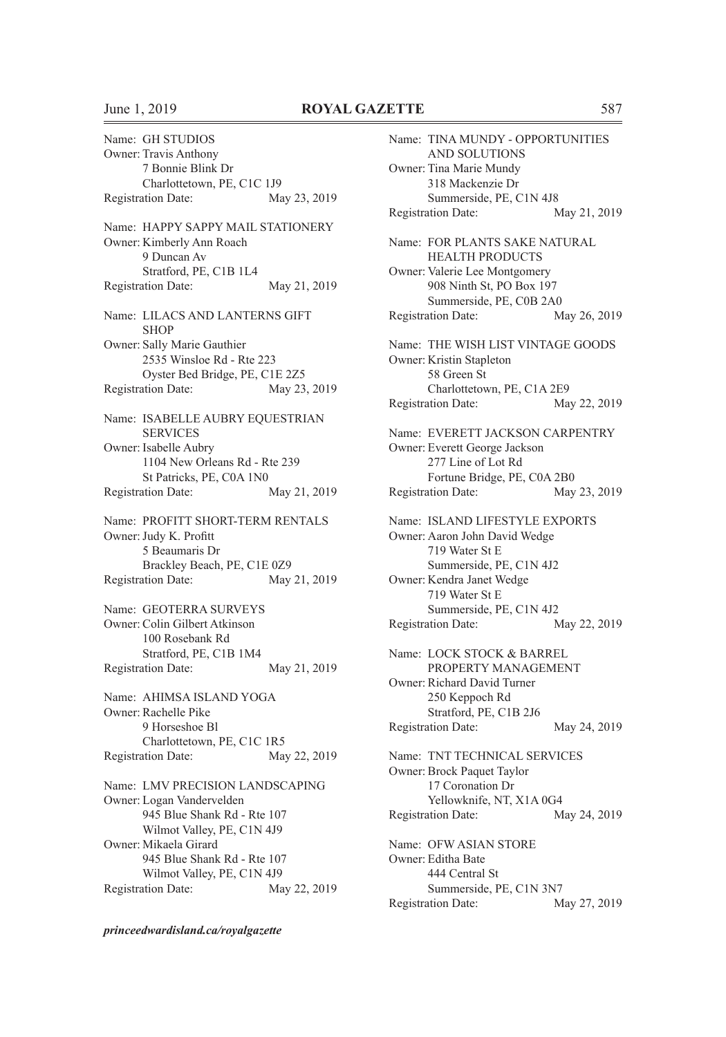Name: GH STUDIOS Owner: Travis Anthony 7 Bonnie Blink Dr Charlottetown, PE, C1C 1J9 Registration Date: May 23, 2019 Name: HAPPY SAPPY MAIL STATIONERY Owner: Kimberly Ann Roach 9 Duncan Av Stratford, PE, C1B 1L4 Registration Date: May 21, 2019 Name: LILACS AND LANTERNS GIFT **SHOP** Owner: Sally Marie Gauthier 2535 Winsloe Rd - Rte 223 Oyster Bed Bridge, PE, C1E 2Z5 Registration Date: May 23, 2019 Name: ISABELLE AUBRY EQUESTRIAN SERVICES Owner: Isabelle Aubry 1104 New Orleans Rd - Rte 239 St Patricks, PE, C0A 1N0 Registration Date: May 21, 2019 Name: PROFITT SHORT-TERM RENTALS Owner:Judy K. Profitt 5 Beaumaris Dr Brackley Beach, PE, C1E 0Z9 Registration Date: May 21, 2019 Name: GEOTERRA SURVEYS Owner: Colin Gilbert Atkinson 100 Rosebank Rd Stratford, PE, C1B 1M4 Registration Date: May 21, 2019 Name: AHIMSA ISLAND YOGA Owner: Rachelle Pike 9 Horseshoe Bl Charlottetown, PE, C1C 1R5 Registration Date: May 22, 2019 Name: LMV PRECISION LANDSCAPING Owner: Logan Vandervelden 945 Blue Shank Rd - Rte 107 Wilmot Valley, PE, C1N 4J9 Owner: Mikaela Girard 945 Blue Shank Rd - Rte 107 Wilmot Valley, PE, C1N 4J9 Registration Date: May 22, 2019

*princeedwardisland.ca/royalgazette*

Name: TINA MUNDY - OPPORTUNITIES AND SOLUTIONS Owner: Tina Marie Mundy 318 Mackenzie Dr Summerside, PE, C1N 4J8 Registration Date: May 21, 2019 Name: FOR PLANTS SAKE NATURAL HEALTH PRODUCTS Owner: Valerie Lee Montgomery 908 Ninth St, PO Box 197 Summerside, PE, C0B 2A0 Registration Date: May 26, 2019 Name: THE WISH LIST VINTAGE GOODS Owner: Kristin Stapleton 58 Green St Charlottetown, PE, C1A 2E9 Registration Date: May 22, 2019 Name: EVERETT JACKSON CARPENTRY Owner: Everett George Jackson 277 Line of Lot Rd Fortune Bridge, PE, C0A 2B0 Registration Date: May 23, 2019 Name: ISLAND LIFESTYLE EXPORTS Owner: Aaron John David Wedge 719 Water St E Summerside, PE, C1N 4J2 Owner: Kendra Janet Wedge 719 Water St E Summerside, PE, C1N 4J2 Registration Date: May 22, 2019 Name: LOCK STOCK & BARREL PROPERTY MANAGEMENT Owner: Richard David Turner 250 Keppoch Rd Stratford, PE, C1B 2J6 Registration Date: May 24, 2019 Name: TNT TECHNICAL SERVICES Owner: Brock Paquet Taylor 17 Coronation Dr Yellowknife, NT, X1A 0G4 Registration Date: May 24, 2019 Name: OFW ASIAN STORE Owner: Editha Bate 444 Central St Summerside, PE, C1N 3N7 Registration Date: May 27, 2019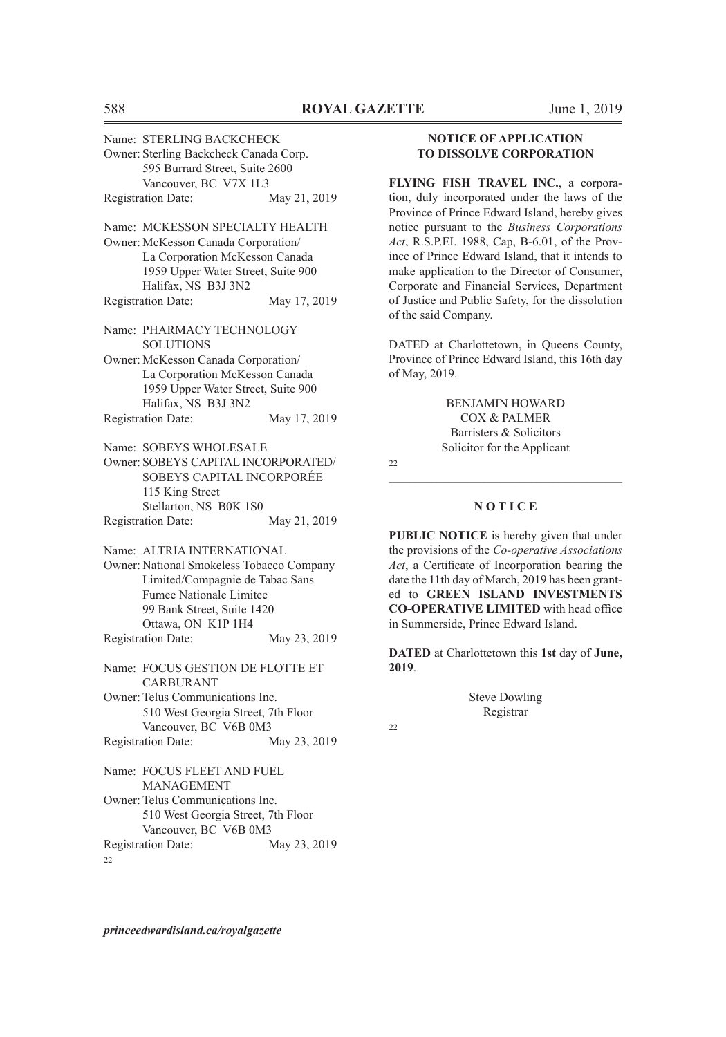| Name: STERLING BACKCHECK                  |              |
|-------------------------------------------|--------------|
| Owner: Sterling Backcheck Canada Corp.    |              |
| 595 Burrard Street, Suite 2600            |              |
| Vancouver, BC V7X 1L3                     |              |
| <b>Registration Date:</b>                 | May 21, 2019 |
| Name: MCKESSON SPECIALTY HEALTH           |              |
| Owner: McKesson Canada Corporation/       |              |
| La Corporation McKesson Canada            |              |
| 1959 Upper Water Street, Suite 900        |              |
| Halifax, NS B3J 3N2                       |              |
| <b>Registration Date:</b>                 | May 17, 2019 |
| Name: PHARMACY TECHNOLOGY                 |              |
| <b>SOLUTIONS</b>                          |              |
| Owner: McKesson Canada Corporation/       |              |
| La Corporation McKesson Canada            |              |
| 1959 Upper Water Street, Suite 900        |              |
| Halifax, NS B3J 3N2                       |              |
| <b>Registration Date:</b>                 | May 17, 2019 |
| Name: SOBEYS WHOLESALE                    |              |
| Owner: SOBEYS CAPITAL INCORPORATED/       |              |
| SOBEYS CAPITAL INCORPORÉE                 |              |
| 115 King Street                           |              |
| Stellarton, NS B0K 1S0                    |              |
| <b>Registration Date:</b>                 | May 21, 2019 |
| Name: ALTRIA INTERNATIONAL                |              |
| Owner: National Smokeless Tobacco Company |              |
| Limited/Compagnie de Tabac Sans           |              |
| <b>Fumee Nationale Limitee</b>            |              |
| 99 Bank Street, Suite 1420                |              |
| Ottawa, ON K1P 1H4                        |              |
| <b>Registration Date:</b>                 | May 23, 2019 |
| Name: FOCUS GESTION DE FLOTTE ET          |              |
| <b>CARBURANT</b>                          |              |
| Owner: Telus Communications Inc.          |              |
| 510 West Georgia Street, 7th Floor        |              |
| Vancouver, BC V6B 0M3                     |              |
| <b>Registration Date:</b>                 | May 23, 2019 |
| Name: FOCUS FLEET AND FUEL                |              |
| <b>MANAGEMENT</b>                         |              |
| Owner: Telus Communications Inc.          |              |
| 510 West Georgia Street, 7th Floor        |              |
| Vancouver, BC V6B 0M3                     |              |
| <b>Registration Date:</b>                 | May 23, 2019 |
|                                           |              |

<sup>22</sup>

**NOTICE OF APPLICATION TO DISSOLVE CORPORATION**

**FLYING FISH TRAVEL INC.**, a corporation, duly incorporated under the laws of the Province of Prince Edward Island, hereby gives notice pursuant to the *Business Corporations Act*, R.S.P.EI. 1988, Cap, B-6.01, of the Province of Prince Edward Island, that it intends to make application to the Director of Consumer, Corporate and Financial Services, Department of Justice and Public Safety, for the dissolution of the said Company.

DATED at Charlottetown, in Queens County, Province of Prince Edward Island, this 16th day of May, 2019.

> BENJAMIN HOWARD COX & PALMER Barristers & Solicitors Solicitor for the Applicant

22

## $\mathcal{L}_\text{max} = \mathcal{L}_\text{max} = \mathcal{L}_\text{max} = \mathcal{L}_\text{max} = \mathcal{L}_\text{max} = \mathcal{L}_\text{max} = \mathcal{L}_\text{max} = \mathcal{L}_\text{max} = \mathcal{L}_\text{max} = \mathcal{L}_\text{max} = \mathcal{L}_\text{max} = \mathcal{L}_\text{max} = \mathcal{L}_\text{max} = \mathcal{L}_\text{max} = \mathcal{L}_\text{max} = \mathcal{L}_\text{max} = \mathcal{L}_\text{max} = \mathcal{L}_\text{max} = \mathcal{$ **N O T I C E**

**PUBLIC NOTICE** is hereby given that under the provisions of the *Co-operative Associations Act*, a Certificate of Incorporation bearing the date the 11th day of March, 2019 has been granted to **GREEN ISLAND INVESTMENTS CO-OPERATIVE LIMITED** with head office in Summerside, Prince Edward Island.

**DATED** at Charlottetown this **1st** day of **June, 2019**.

> Steve Dowling Registrar

22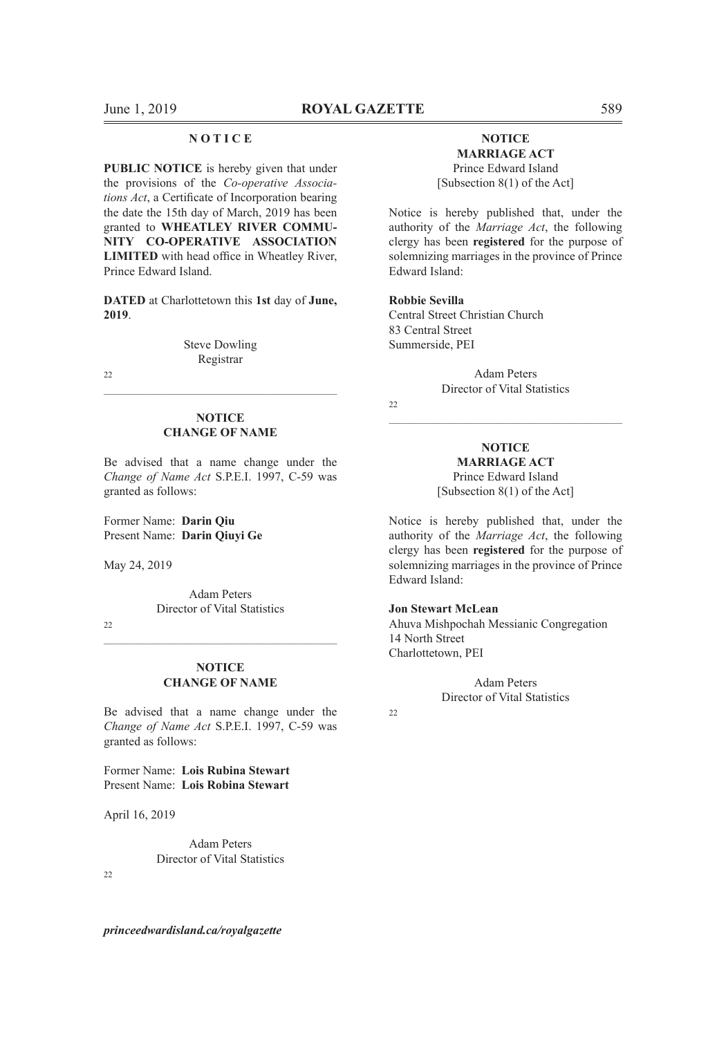#### **N O T I C E**

**PUBLIC NOTICE** is hereby given that under the provisions of the *Co-operative Associations Act*, a Certificate of Incorporation bearing the date the 15th day of March, 2019 has been granted to **WHEATLEY RIVER COMMU-NITY CO-OPERATIVE ASSOCIATION LIMITED** with head office in Wheatley River, Prince Edward Island.

**DATED** at Charlottetown this **1st** day of **June, 2019**.

> Steve Dowling Registrar

 $22$ 

#### **NOTICE CHANGE OF NAME**

 $\mathcal{L}_\text{max}$  and the contribution of the contribution of the contribution of the contribution of the contribution of the contribution of the contribution of the contribution of the contribution of the contribution of the

Be advised that a name change under the *Change of Name Act* S.P.E.I. 1997, C-59 was granted as follows:

Former Name: **Darin Qiu** Present Name: **Darin Qiuyi Ge**

May 24, 2019

Adam Peters Director of Vital Statistics

 $22$ 

#### **NOTICE CHANGE OF NAME**

 $\mathcal{L}_\text{max} = \mathcal{L}_\text{max} = \mathcal{L}_\text{max} = \mathcal{L}_\text{max} = \mathcal{L}_\text{max} = \mathcal{L}_\text{max} = \mathcal{L}_\text{max} = \mathcal{L}_\text{max} = \mathcal{L}_\text{max} = \mathcal{L}_\text{max} = \mathcal{L}_\text{max} = \mathcal{L}_\text{max} = \mathcal{L}_\text{max} = \mathcal{L}_\text{max} = \mathcal{L}_\text{max} = \mathcal{L}_\text{max} = \mathcal{L}_\text{max} = \mathcal{L}_\text{max} = \mathcal{$ 

Be advised that a name change under the *Change of Name Act* S.P.E.I. 1997, C-59 was granted as follows:

Former Name: **Lois Rubina Stewart** Present Name: **Lois Robina Stewart**

April 16, 2019

Adam Peters Director of Vital Statistics

 $22$ 

*princeedwardisland.ca/royalgazette*

#### **NOTICE MARRIAGE ACT**

Prince Edward Island [Subsection 8(1) of the Act]

Notice is hereby published that, under the authority of the *Marriage Act*, the following clergy has been **registered** for the purpose of solemnizing marriages in the province of Prince Edward Island:

#### **Robbie Sevilla**

Central Street Christian Church 83 Central Street Summerside, PEI

> Adam Peters Director of Vital Statistics

 $22$ 

#### **NOTICE MARRIAGE ACT** Prince Edward Island [Subsection 8(1) of the Act]

 $\mathcal{L}_\text{max} = \mathcal{L}_\text{max} = \mathcal{L}_\text{max} = \mathcal{L}_\text{max} = \mathcal{L}_\text{max} = \mathcal{L}_\text{max} = \mathcal{L}_\text{max} = \mathcal{L}_\text{max} = \mathcal{L}_\text{max} = \mathcal{L}_\text{max} = \mathcal{L}_\text{max} = \mathcal{L}_\text{max} = \mathcal{L}_\text{max} = \mathcal{L}_\text{max} = \mathcal{L}_\text{max} = \mathcal{L}_\text{max} = \mathcal{L}_\text{max} = \mathcal{L}_\text{max} = \mathcal{$ 

Notice is hereby published that, under the authority of the *Marriage Act*, the following clergy has been **registered** for the purpose of solemnizing marriages in the province of Prince Edward Island:

#### **Jon Stewart McLean**

Ahuva Mishpochah Messianic Congregation 14 North Street Charlottetown, PEI

> Adam Peters Director of Vital Statistics

 $22$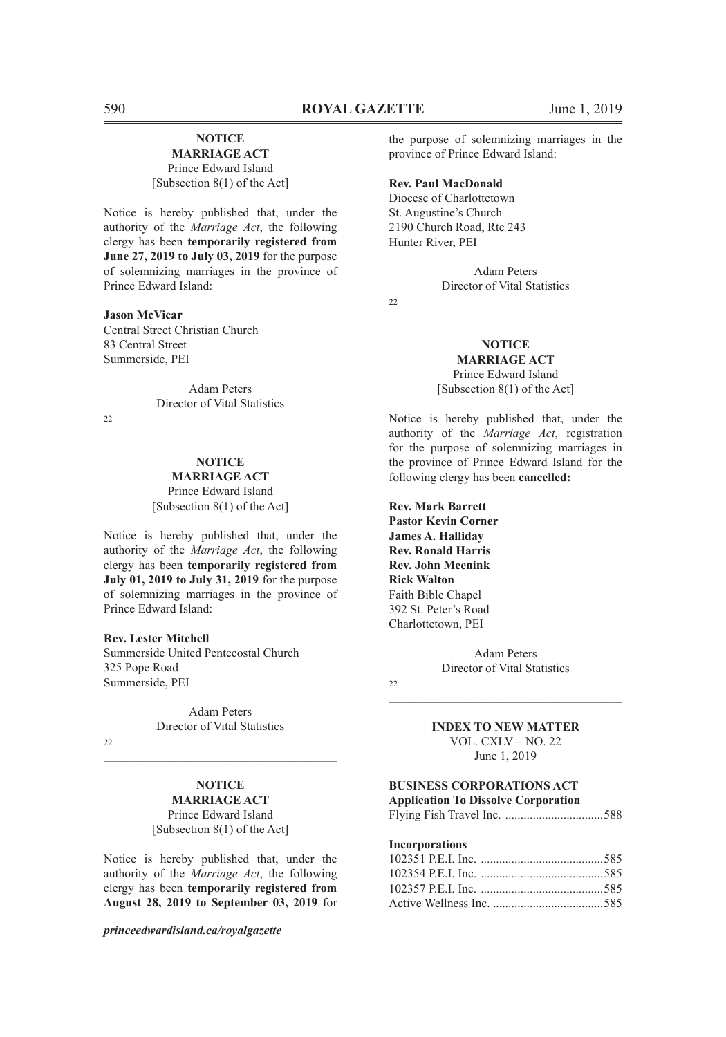#### **NOTICE MARRIAGE ACT**

Prince Edward Island [Subsection 8(1) of the Act]

Notice is hereby published that, under the authority of the *Marriage Act*, the following clergy has been **temporarily registered from June 27, 2019 to July 03, 2019** for the purpose of solemnizing marriages in the province of Prince Edward Island:

#### **Jason McVicar**

Central Street Christian Church 83 Central Street Summerside, PEI

> Adam Peters Director of Vital Statistics

 $\mathcal{L}_\text{max} = \mathcal{L}_\text{max} = \mathcal{L}_\text{max} = \mathcal{L}_\text{max} = \mathcal{L}_\text{max} = \mathcal{L}_\text{max} = \mathcal{L}_\text{max} = \mathcal{L}_\text{max} = \mathcal{L}_\text{max} = \mathcal{L}_\text{max} = \mathcal{L}_\text{max} = \mathcal{L}_\text{max} = \mathcal{L}_\text{max} = \mathcal{L}_\text{max} = \mathcal{L}_\text{max} = \mathcal{L}_\text{max} = \mathcal{L}_\text{max} = \mathcal{L}_\text{max} = \mathcal{$ 

 $22$ 

#### **NOTICE MARRIAGE ACT**

Prince Edward Island [Subsection 8(1) of the Act]

Notice is hereby published that, under the authority of the *Marriage Act*, the following clergy has been **temporarily registered from July 01, 2019 to July 31, 2019** for the purpose of solemnizing marriages in the province of Prince Edward Island:

#### **Rev. Lester Mitchell**

Summerside United Pentecostal Church 325 Pope Road Summerside, PEI

> Adam Peters Director of Vital Statistics

 $22$ 

#### **NOTICE MARRIAGE ACT**

 $\mathcal{L}_\text{max}$  and the contribution of the contribution of the contribution of the contribution of the contribution of the contribution of the contribution of the contribution of the contribution of the contribution of the

Prince Edward Island [Subsection 8(1) of the Act]

Notice is hereby published that, under the authority of the *Marriage Act*, the following clergy has been **temporarily registered from August 28, 2019 to September 03, 2019** for

*princeedwardisland.ca/royalgazette*

the purpose of solemnizing marriages in the province of Prince Edward Island:

#### **Rev. Paul MacDonald**

Diocese of Charlottetown St. Augustine's Church 2190 Church Road, Rte 243 Hunter River, PEI

> Adam Peters Director of Vital Statistics

 $\mathcal{L}_\text{max} = \mathcal{L}_\text{max} = \mathcal{L}_\text{max} = \mathcal{L}_\text{max} = \mathcal{L}_\text{max} = \mathcal{L}_\text{max} = \mathcal{L}_\text{max} = \mathcal{L}_\text{max} = \mathcal{L}_\text{max} = \mathcal{L}_\text{max} = \mathcal{L}_\text{max} = \mathcal{L}_\text{max} = \mathcal{L}_\text{max} = \mathcal{L}_\text{max} = \mathcal{L}_\text{max} = \mathcal{L}_\text{max} = \mathcal{L}_\text{max} = \mathcal{L}_\text{max} = \mathcal{$ 

 $22$ 

**NOTICE MARRIAGE ACT** Prince Edward Island [Subsection 8(1) of the Act]

Notice is hereby published that, under the authority of the *Marriage Act*, registration for the purpose of solemnizing marriages in the province of Prince Edward Island for the following clergy has been **cancelled:**

**Rev. Mark Barrett Pastor Kevin Corner James A. Halliday Rev. Ronald Harris Rev. John Meenink Rick Walton** Faith Bible Chapel 392 St. Peter's Road Charlottetown, PEI

> Adam Peters Director of Vital Statistics

 $22$ 

## $\mathcal{L}_\text{max} = \mathcal{L}_\text{max} = \mathcal{L}_\text{max} = \mathcal{L}_\text{max} = \mathcal{L}_\text{max} = \mathcal{L}_\text{max} = \mathcal{L}_\text{max} = \mathcal{L}_\text{max} = \mathcal{L}_\text{max} = \mathcal{L}_\text{max} = \mathcal{L}_\text{max} = \mathcal{L}_\text{max} = \mathcal{L}_\text{max} = \mathcal{L}_\text{max} = \mathcal{L}_\text{max} = \mathcal{L}_\text{max} = \mathcal{L}_\text{max} = \mathcal{L}_\text{max} = \mathcal{$ **INDEX TO NEW MATTER**

VOL. CXLV – NO. 22 June 1, 2019

#### **BUSINESS CORPORATIONS ACT**

**Application To Dissolve Corporation** Flying Fish Travel Inc. ................................588

#### **Incorporations**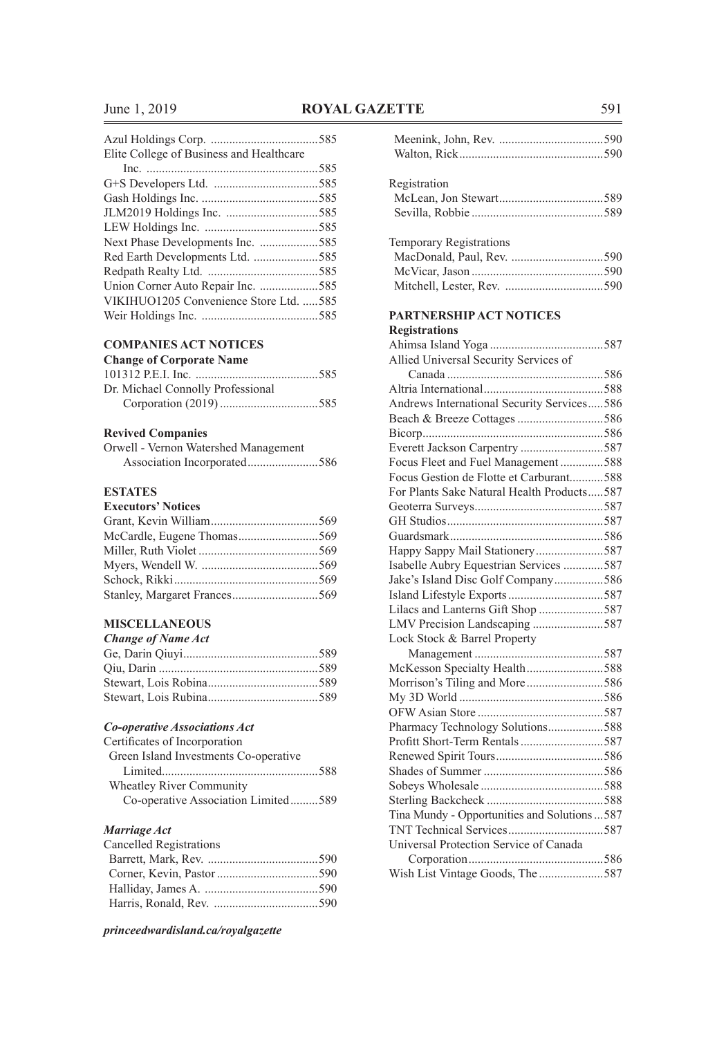### June 1, 2019 **ROYAL GAZETTE** 591

| Elite College of Business and Healthcare |  |
|------------------------------------------|--|
|                                          |  |
|                                          |  |
|                                          |  |
|                                          |  |
|                                          |  |
|                                          |  |
|                                          |  |
|                                          |  |
|                                          |  |
| VIKIHUO1205 Convenience Store Ltd. 585   |  |
|                                          |  |
|                                          |  |

#### **COMPANIES ACT NOTICES**

| <b>Change of Corporate Name</b>   |  |
|-----------------------------------|--|
|                                   |  |
| Dr. Michael Connolly Professional |  |
|                                   |  |

# **Revived Companies**

| Orwell - Vernon Watershed Management |  |
|--------------------------------------|--|
|                                      |  |

### **ESTATES**

| <b>LO TATLO</b>           |  |
|---------------------------|--|
| <b>Executors' Notices</b> |  |
|                           |  |
|                           |  |
|                           |  |
|                           |  |
|                           |  |
|                           |  |
|                           |  |

#### **MISCELLANEOUS**

## *Change of Name Act*

#### *Co-operative Associations Act*

| Certificates of Incorporation         |  |
|---------------------------------------|--|
| Green Island Investments Co-operative |  |
|                                       |  |
| <b>Wheatley River Community</b>       |  |
| Co-operative Association Limited589   |  |

#### *Marriage Act*

| Registration                                  |  |
|-----------------------------------------------|--|
|                                               |  |
|                                               |  |
|                                               |  |
| <b>Temporary Registrations</b>                |  |
|                                               |  |
|                                               |  |
|                                               |  |
| PARTNERSHIP ACT NOTICES                       |  |
| <b>Registrations</b>                          |  |
|                                               |  |
| Allied Universal Security Services of         |  |
|                                               |  |
|                                               |  |
| Andrews International Security Services586    |  |
|                                               |  |
|                                               |  |
| Everett Jackson Carpentry 587                 |  |
| Focus Fleet and Fuel Management588            |  |
| Focus Gestion de Flotte et Carburant588       |  |
| For Plants Sake Natural Health Products587    |  |
|                                               |  |
|                                               |  |
|                                               |  |
| Happy Sappy Mail Stationery587                |  |
| Isabelle Aubry Equestrian Services 587        |  |
| Jake's Island Disc Golf Company586            |  |
|                                               |  |
| Lilacs and Lanterns Gift Shop 587             |  |
| LMV Precision Landscaping 587                 |  |
| Lock Stock & Barrel Property                  |  |
|                                               |  |
| McKesson Specialty Health588                  |  |
|                                               |  |
|                                               |  |
|                                               |  |
| Pharmacy Technology Solutions588              |  |
| Profitt Short-Term Rentals587                 |  |
|                                               |  |
|                                               |  |
|                                               |  |
|                                               |  |
| Tina Mundy - Opportunities and Solutions  587 |  |
|                                               |  |
| Universal Protection Service of Canada        |  |
|                                               |  |
| Wish List Vintage Goods, The 587              |  |